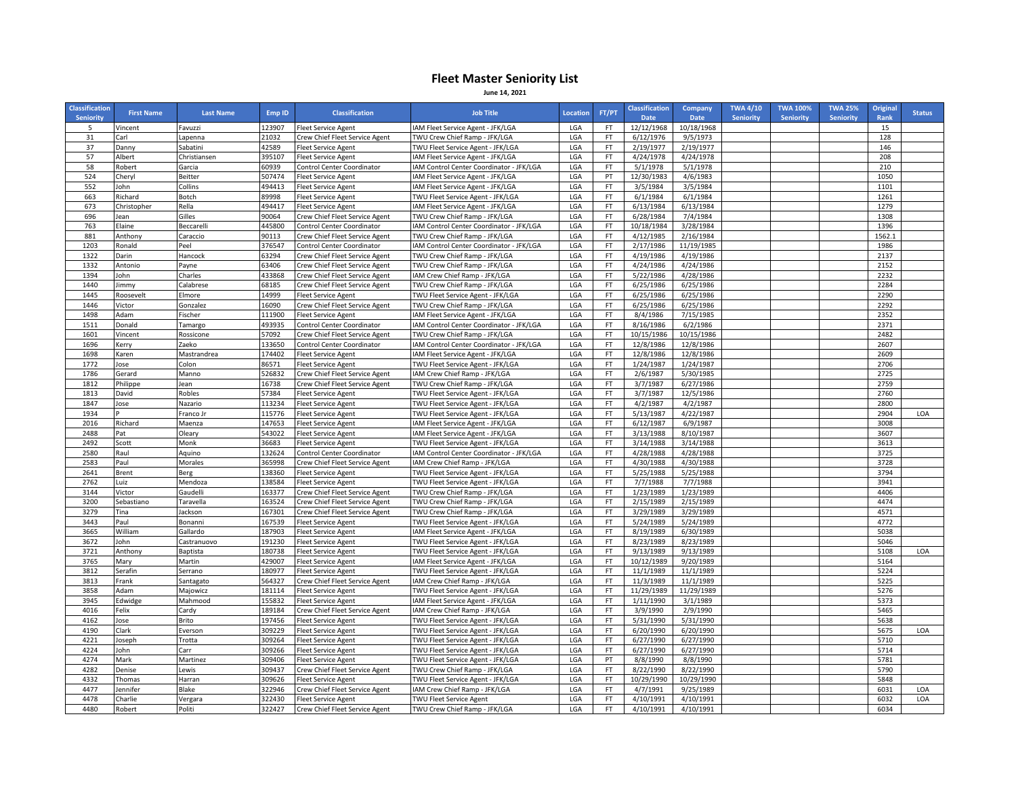## **Fleet Master Seniority List June 14, 2021**

| <b>Classification</b><br><b>Seniority</b> | <b>First Name</b>   | <b>Last Name</b>   | Emp ID          | <b>Classification</b>                                            | <b>Job Title</b>                                                          | Location   | FT/PT    | <b>Classification</b><br><b>Date</b> | Company<br><b>Date</b> | <b>TWA 4/10</b><br><b>Seniority</b> | <b>TWA 100%</b><br><b>Seniority</b> | <b>TWA 25%</b><br><b>Seniority</b> | <b>Original</b><br>Rank | <b>Status</b> |
|-------------------------------------------|---------------------|--------------------|-----------------|------------------------------------------------------------------|---------------------------------------------------------------------------|------------|----------|--------------------------------------|------------------------|-------------------------------------|-------------------------------------|------------------------------------|-------------------------|---------------|
| 5                                         | Vincent             | Favuzzi            | 123907          | <b>Fleet Service Agent</b>                                       | IAM Fleet Service Agent - JFK/LGA                                         | LGA        | FT       | 12/12/1968                           | 10/18/1968             |                                     |                                     |                                    | 15                      |               |
| 31                                        | Carl                | Lapenna            | 21032           | Crew Chief Fleet Service Agent                                   | TWU Crew Chief Ramp - JFK/LGA                                             | LGA        | FT.      | 6/12/1976                            | 9/5/1973               |                                     |                                     |                                    | 128                     |               |
| 37                                        | Danny               | Sabatini           | 42589           | <b>Fleet Service Agent</b>                                       | TWU Fleet Service Agent - JFK/LGA                                         | LGA        | FT       | 2/19/1977                            | 2/19/1977              |                                     |                                     |                                    | 146                     |               |
| 57                                        | Albert              | Christiansen       | 395107          | <b>Fleet Service Agent</b>                                       | IAM Fleet Service Agent - JFK/LGA                                         | LGA        | FT       | 4/24/1978                            | 4/24/1978              |                                     |                                     |                                    | 208                     |               |
| 58                                        | Robert              | Garcia             | 60939           | Control Center Coordinator                                       | IAM Control Center Coordinator - JFK/LGA                                  | LGA        | FT.      | 5/1/1978                             | 5/1/1978               |                                     |                                     |                                    | 210                     |               |
| 524                                       | Cheryl              | Beitter            | 507474          | <b>Fleet Service Agent</b>                                       | IAM Fleet Service Agent - JFK/LGA                                         | LGA        | PT       | 12/30/1983                           | 4/6/1983               |                                     |                                     |                                    | 1050                    |               |
| 552                                       | John                | Collins            | 494413          | <b>Fleet Service Agent</b>                                       | IAM Fleet Service Agent - JFK/LGA                                         | LGA        | FT       | 3/5/1984                             | 3/5/1984               |                                     |                                     |                                    | 1101                    |               |
| 663                                       | Richard             | Botch              | 89998           | <b>Fleet Service Agent</b>                                       | TWU Fleet Service Agent - JFK/LGA                                         | LGA        | FT       | 6/1/1984                             | 6/1/1984               |                                     |                                     |                                    | 1261                    |               |
| 673                                       | Christopher         | Rella              | 494417          | <b>Fleet Service Agent</b>                                       | IAM Fleet Service Agent - JFK/LGA                                         | LGA        | FT       | 6/13/1984                            | 6/13/1984              |                                     |                                     |                                    | 1279                    |               |
| 696                                       | Jean                | Gilles             | 90064           | Crew Chief Fleet Service Agent                                   | TWU Crew Chief Ramp - JFK/LGA                                             | LGA        | FT       | 6/28/1984                            | 7/4/1984               |                                     |                                     |                                    | 1308                    |               |
| 763                                       | Elaine              | Beccarell          | 445800          | <b>Control Center Coordinator</b>                                | IAM Control Center Coordinator - JFK/LGA                                  | LGA        | FT       | 10/18/1984                           | 3/28/1984              |                                     |                                     |                                    | 1396                    |               |
| 881                                       | Anthony<br>Ronald   | Caraccio           | 90113           | Crew Chief Fleet Service Agent                                   | TWU Crew Chief Ramp - JFK/LGA                                             | LGA        | FT       | 4/12/1985<br>2/17/1986               | 2/16/1984              |                                     |                                     |                                    | 1562.1                  |               |
| 1203                                      | Darin               | Peel               | 376547<br>63294 | Control Center Coordinator                                       | IAM Control Center Coordinator - JFK/LGA<br>TWU Crew Chief Ramp - JFK/LGA | LGA        | FT<br>FT | 4/19/1986                            | 11/19/1985             |                                     |                                     |                                    | 1986<br>2137            |               |
| 1322<br>1332                              | Antonio             | Hancock<br>Payne   | 63406           | Crew Chief Fleet Service Agent                                   | TWU Crew Chief Ramp - JFK/LGA                                             | LGA<br>LGA | FT       | 4/24/1986                            | 4/19/1986<br>4/24/1986 |                                     |                                     |                                    | 2152                    |               |
| 1394                                      | lohn                | Charles            | 433868          | Crew Chief Fleet Service Agent<br>Crew Chief Fleet Service Agent | IAM Crew Chief Ramp - JFK/LGA                                             | LGA        | FT       | 5/22/1986                            | 4/28/1986              |                                     |                                     |                                    | 2232                    |               |
| 1440                                      |                     | Calabrese          | 68185           | Crew Chief Fleet Service Agent                                   | TWU Crew Chief Ramp - JFK/LGA                                             | LGA        | FT       | 6/25/1986                            | 6/25/1986              |                                     |                                     |                                    | 2284                    |               |
| 1445                                      | Jimmy               |                    | 14999           |                                                                  | TWU Fleet Service Agent - JFK/LGA                                         | LGA        | FT       | 6/25/1986                            | 6/25/1986              |                                     |                                     |                                    | 2290                    |               |
| 1446                                      | Roosevelt<br>Victor | Elmore<br>Gonzalez | 16090           | <b>Fleet Service Agent</b><br>Crew Chief Fleet Service Agent     | TWU Crew Chief Ramp - JFK/LGA                                             | LGA        | FT       | 6/25/1986                            | 6/25/1986              |                                     |                                     |                                    | 2292                    |               |
| 1498                                      | Adam                | Fischer            | 111900          | <b>Fleet Service Agent</b>                                       | IAM Fleet Service Agent - JFK/LGA                                         | LGA        | FT       | 8/4/1986                             | 7/15/1985              |                                     |                                     |                                    | 2352                    |               |
| 1511                                      | Donald              | Tamargo            | 493935          | <b>Control Center Coordinator</b>                                | IAM Control Center Coordinator - JFK/LGA                                  | LGA        | FT       | 8/16/1986                            | 6/2/1986               |                                     |                                     |                                    | 2371                    |               |
| 1601                                      | Vincent             | Rossicone          | 57092           | Crew Chief Fleet Service Agent                                   | TWU Crew Chief Ramp - JFK/LGA                                             | LGA        | FT       | 10/15/1986                           | 10/15/1986             |                                     |                                     |                                    | 2482                    |               |
| 1696                                      | Kerry               | Zaeko              | 133650          | Control Center Coordinator                                       | IAM Control Center Coordinator - JFK/LGA                                  | LGA        | FT       | 12/8/1986                            | 12/8/1986              |                                     |                                     |                                    | 2607                    |               |
| 1698                                      | Karen               | Mastrandrea        | 174402          | <b>Fleet Service Agent</b>                                       | IAM Fleet Service Agent - JFK/LGA                                         | LGA        | FT       | 12/8/1986                            | 12/8/1986              |                                     |                                     |                                    | 2609                    |               |
| 1772                                      | Jose                | Colon              | 86571           | <b>Fleet Service Agent</b>                                       | TWU Fleet Service Agent - JFK/LGA                                         | LGA        | FT       | 1/24/1987                            | 1/24/1987              |                                     |                                     |                                    | 2706                    |               |
| 1786                                      | Gerard              | Manno              | 526832          | Crew Chief Fleet Service Agent                                   | IAM Crew Chief Ramp - JFK/LGA                                             | LGA        | FT.      | 2/6/1987                             | 5/30/1985              |                                     |                                     |                                    | 2725                    |               |
| 1812                                      | Philippe            | Jean               | 16738           | Crew Chief Fleet Service Agent                                   | TWU Crew Chief Ramp - JFK/LGA                                             | LGA        | FT       | 3/7/1987                             | 6/27/1986              |                                     |                                     |                                    | 2759                    |               |
| 1813                                      | David               | Robles             | 57384           | <b>Fleet Service Agent</b>                                       | TWU Fleet Service Agent - JFK/LGA                                         | LGA        | FT       | 3/7/1987                             | 12/5/1986              |                                     |                                     |                                    | 2760                    |               |
| 1847                                      | Jose                | Nazario            | 113234          | <b>Fleet Service Agent</b>                                       | TWU Fleet Service Agent - JFK/LGA                                         | LGA        | FT       | 4/2/1987                             | 4/2/1987               |                                     |                                     |                                    | 2800                    |               |
| 1934                                      |                     | Franco Jr          | 115776          | <b>Fleet Service Agent</b>                                       | TWU Fleet Service Agent - JFK/LGA                                         | LGA        | FT       | 5/13/1987                            | 4/22/1987              |                                     |                                     |                                    | 2904                    | LOA           |
| 2016                                      | Richard             | Maenza             | 147653          | <b>Fleet Service Agent</b>                                       | IAM Fleet Service Agent - JFK/LGA                                         | LGA        | FT.      | 6/12/1987                            | 6/9/1987               |                                     |                                     |                                    | 3008                    |               |
| 2488                                      | Pat                 | Oleary             | 543022          | <b>Fleet Service Agent</b>                                       | IAM Fleet Service Agent - JFK/LGA                                         | LGA        | FT       | 3/13/1988                            | 8/10/1987              |                                     |                                     |                                    | 3607                    |               |
| 2492                                      | Scott               | Monk               | 36683           | Fleet Service Agent                                              | TWU Fleet Service Agent - JFK/LGA                                         | LGA        | FT       | 3/14/1988                            | 3/14/1988              |                                     |                                     |                                    | 3613                    |               |
| 2580                                      | Raul                | Aquino             | 132624          | Control Center Coordinator                                       | IAM Control Center Coordinator - JFK/LGA                                  | LGA        | FT       | 4/28/1988                            | 4/28/1988              |                                     |                                     |                                    | 3725                    |               |
| 2583                                      | Paul                | Morales            | 365998          | Crew Chief Fleet Service Agent                                   | IAM Crew Chief Ramp - JFK/LGA                                             | LGA        | FT       | 4/30/1988                            | 4/30/1988              |                                     |                                     |                                    | 3728                    |               |
| 2641                                      | <b>Brent</b>        | Berg               | 138360          | <b>Fleet Service Agent</b>                                       | TWU Fleet Service Agent - JFK/LGA                                         | LGA        | FT.      | 5/25/1988                            | 5/25/1988              |                                     |                                     |                                    | 3794                    |               |
| 2762                                      | Luiz                | Mendoza            | 138584          | <b>Fleet Service Agent</b>                                       | TWU Fleet Service Agent - JFK/LGA                                         | LGA        | FT       | 7/7/1988                             | 7/7/1988               |                                     |                                     |                                    | 3941                    |               |
| 3144                                      | Victor              | Gaudelli           | 163377          | Crew Chief Fleet Service Agent                                   | TWU Crew Chief Ramp - JFK/LGA                                             | LGA        | FT       | 1/23/1989                            | 1/23/1989              |                                     |                                     |                                    | 4406                    |               |
| 3200                                      | Sebastiano          | Taravella          | 163524          | Crew Chief Fleet Service Agent                                   | TWU Crew Chief Ramp - JFK/LGA                                             | LGA        | FT       | 2/15/1989                            | 2/15/1989              |                                     |                                     |                                    | 4474                    |               |
| 3279                                      | Tina                | Jackson            | 167301          | Crew Chief Fleet Service Agent                                   | TWU Crew Chief Ramp - JFK/LGA                                             | LGA        | FT       | 3/29/1989                            | 3/29/1989              |                                     |                                     |                                    | 4571                    |               |
| 3443                                      | Paul                | Bonanni            | 167539          | <b>Fleet Service Agent</b>                                       | TWU Fleet Service Agent - JFK/LGA                                         | LGA        | FT       | 5/24/1989                            | 5/24/1989              |                                     |                                     |                                    | 4772                    |               |
| 3665                                      | William             | Gallardo           | 187903          | <b>Fleet Service Agent</b>                                       | IAM Fleet Service Agent - JFK/LGA                                         | LGA        | FT       | 8/19/1989                            | 6/30/1989              |                                     |                                     |                                    | 5038                    |               |
| 3672                                      | John                | Castranuovo        | 191230          | <b>Fleet Service Agent</b>                                       | TWU Fleet Service Agent - JFK/LGA                                         | LGA        | FT       | 8/23/1989                            | 8/23/1989              |                                     |                                     |                                    | 5046                    |               |
| 3721                                      | Anthony             | <b>Baptista</b>    | 180738          | Fleet Service Agent                                              | TWU Fleet Service Agent - JFK/LGA                                         | LGA        | FT       | 9/13/1989                            | 9/13/1989              |                                     |                                     |                                    | 5108                    | LOA           |
| 3765                                      | Mary                | Martin             | 429007          | Fleet Service Agent                                              | IAM Fleet Service Agent - JFK/LGA                                         | LGA        | FT       | 10/12/1989                           | 9/20/1989              |                                     |                                     |                                    | 5164                    |               |
| 3812                                      | Serafin             | Serrano            | 180977          | <b>Fleet Service Agent</b>                                       | TWU Fleet Service Agent - JFK/LGA                                         | LGA        | FT       | 11/1/1989                            | 11/1/1989              |                                     |                                     |                                    | 5224                    |               |
| 3813                                      | Frank               | Santagato          | 564327          | Crew Chief Fleet Service Agent                                   | IAM Crew Chief Ramp - JFK/LGA                                             | LGA        | FT       | 11/3/1989                            | 11/1/1989              |                                     |                                     |                                    | 5225                    |               |
| 3858                                      | Adam                | Majowicz           | 181114          | <b>Fleet Service Agent</b>                                       | TWU Fleet Service Agent - JFK/LGA                                         | LGA        | FT       | 11/29/1989                           | 11/29/1989             |                                     |                                     |                                    | 5276                    |               |
| 3945                                      | Edwidge             | Mahmood            | 155832          | <b>Fleet Service Agent</b>                                       | IAM Fleet Service Agent - JFK/LGA                                         | LGA        | FT       | 1/11/1990                            | 3/1/1989               |                                     |                                     |                                    | 5373                    |               |
| 4016                                      | Felix               | Cardy              | 189184          | Crew Chief Fleet Service Agent                                   | IAM Crew Chief Ramp - JFK/LGA                                             | LGA        | FT       | 3/9/1990                             | 2/9/1990               |                                     |                                     |                                    | 5465                    |               |
| 4162                                      | Jose                | Brito              | 197456          | <b>Fleet Service Agent</b>                                       | TWU Fleet Service Agent - JFK/LGA                                         | LGA        | FT       | 5/31/1990                            | 5/31/1990              |                                     |                                     |                                    | 5638                    |               |
| 4190                                      | Clark               | Everson            | 309229          | <b>Fleet Service Agent</b>                                       | TWU Fleet Service Agent - JFK/LGA                                         | LGA        | FT       | 6/20/1990                            | 6/20/1990              |                                     |                                     |                                    | 5675                    | LOA           |
| 4221                                      | Joseph              | Trotta             | 309264          | <b>Fleet Service Agent</b>                                       | TWU Fleet Service Agent - JFK/LGA                                         | LGA        | FT.      | 6/27/1990                            | 6/27/1990              |                                     |                                     |                                    | 5710                    |               |
| 4224                                      | John                | Carr               | 309266          | <b>Fleet Service Agent</b>                                       | TWU Fleet Service Agent - JFK/LGA                                         | LGA        | FT       | 6/27/1990                            | 6/27/1990              |                                     |                                     |                                    | 5714                    |               |
| 4274                                      | Mark                | Martinez           | 309406          | <b>Fleet Service Agent</b>                                       | TWU Fleet Service Agent - JFK/LGA                                         | LGA        | PT       | 8/8/1990                             | 8/8/1990               |                                     |                                     |                                    | 5781                    |               |
| 4282                                      | Denise              | Lewis              | 309437          | Crew Chief Fleet Service Agent                                   | TWU Crew Chief Ramp - JFK/LGA                                             | LGA        | FT       | 8/22/1990                            | 8/22/1990              |                                     |                                     |                                    | 5790                    |               |
| 4332                                      | Thomas              | Harran             | 309626          | <b>Fleet Service Agent</b>                                       | TWU Fleet Service Agent - JFK/LGA                                         | LGA        | FT       | 10/29/1990                           | 10/29/1990             |                                     |                                     |                                    | 5848                    |               |
| 4477                                      | lennifer            | Blake              | 322946          | Crew Chief Fleet Service Agent                                   | IAM Crew Chief Ramp - JFK/LGA                                             | LGA        | FT.      | 4/7/1991                             | 9/25/1989              |                                     |                                     |                                    | 6031                    | LOA           |
| 4478                                      | Charlie             | Vergara            | 322430          | <b>Fleet Service Agent</b>                                       | <b>TWU Fleet Service Agent</b>                                            | LGA        | FT       | 4/10/1991                            | 4/10/1991              |                                     |                                     |                                    | 6032                    | LOA           |
| 4480                                      | Robert              | Politi             | 322427          | Crew Chief Fleet Service Agent                                   | TWU Crew Chief Ramp - JFK/LGA                                             | LGA        | FT.      | 4/10/1991                            | 4/10/1991              |                                     |                                     |                                    | 6034                    |               |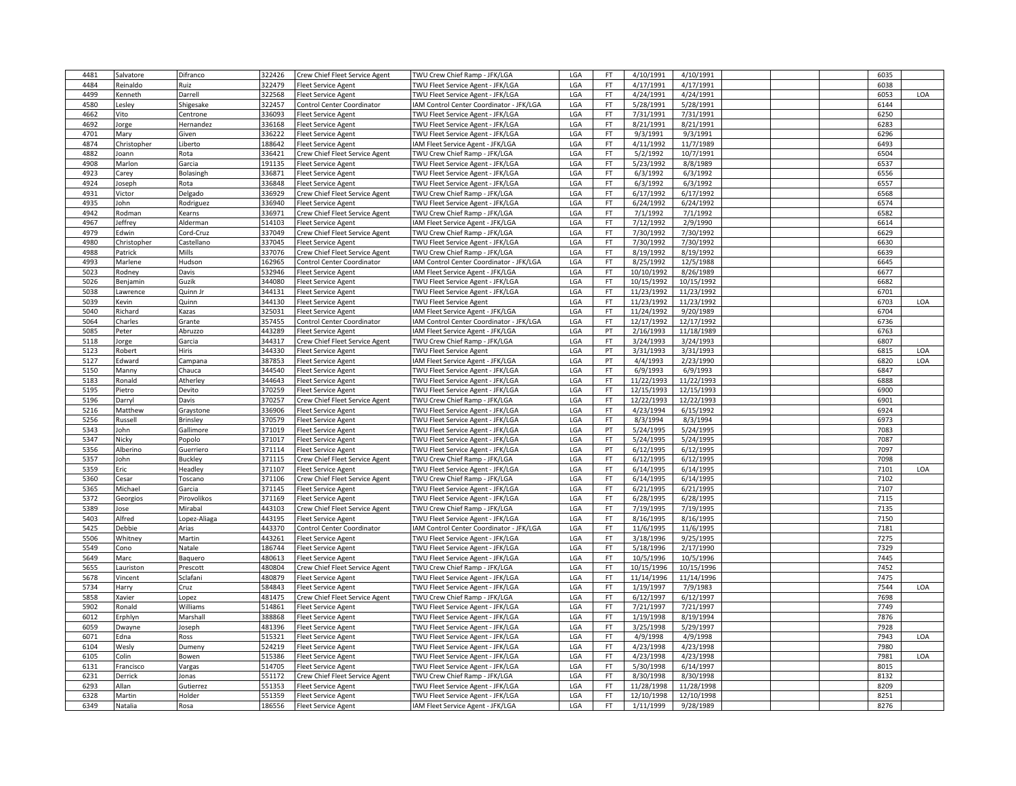| 4481 | Salvatore   | Difranco     | 322426 | Crew Chief Fleet Service Agent    | TWU Crew Chief Ramp - JFK/LGA            | LGA | FT.       | 4/10/1991  | 4/10/1991  |  | 6035 |     |
|------|-------------|--------------|--------|-----------------------------------|------------------------------------------|-----|-----------|------------|------------|--|------|-----|
| 4484 | Reinaldo    | Ruiz         | 322479 | <b>Fleet Service Agent</b>        | TWU Fleet Service Agent - JFK/LGA        | LGA | FT        | 4/17/1991  | 4/17/1991  |  | 6038 |     |
| 4499 | Kenneth     | Darrell      | 322568 | <b>Fleet Service Agent</b>        | TWU Fleet Service Agent - JFK/LGA        | LGA | <b>FT</b> | 4/24/1991  | 4/24/1991  |  | 6053 | LOA |
| 4580 | Lesley      | Shigesake    | 322457 | <b>Control Center Coordinator</b> | IAM Control Center Coordinator - JFK/LGA | LGA | FT        | 5/28/1991  | 5/28/1991  |  | 6144 |     |
| 4662 | Vito        | Centrone     | 336093 | <b>Fleet Service Agent</b>        | TWU Fleet Service Agent - JFK/LGA        | LGA | <b>FT</b> | 7/31/1991  | 7/31/1991  |  | 6250 |     |
| 4692 | Jorge       | Hernandez    | 336168 | <b>Fleet Service Agent</b>        | TWU Fleet Service Agent - JFK/LGA        | LGA | <b>FT</b> | 8/21/1991  | 8/21/1991  |  | 6283 |     |
| 4701 | Mary        |              | 336222 |                                   |                                          | LGA | FT.       | 9/3/1991   | 9/3/1991   |  | 6296 |     |
|      |             | Given        |        | <b>Fleet Service Agent</b>        | TWU Fleet Service Agent - JFK/LGA        |     |           |            |            |  |      |     |
| 4874 | Christopher | Liberto      | 188642 | <b>Fleet Service Agent</b>        | IAM Fleet Service Agent - JFK/LGA        | LGA | <b>FT</b> | 4/11/1992  | 11/7/1989  |  | 6493 |     |
| 4882 | oann        | Rota         | 336421 | Crew Chief Fleet Service Agent    | TWU Crew Chief Ramp - JFK/LGA            | LGA | <b>FT</b> | 5/2/1992   | 10/7/1991  |  | 6504 |     |
| 4908 | Marlon      | Garcia       | 191135 | <b>Fleet Service Agent</b>        | TWU Fleet Service Agent - JFK/LGA        | LGA | <b>FT</b> | 5/23/1992  | 8/8/1989   |  | 6537 |     |
| 4923 | Carey       | Bolasingh    | 336871 | <b>Fleet Service Agent</b>        | TWU Fleet Service Agent - JFK/LGA        | LGA | <b>FT</b> | 6/3/1992   | 6/3/1992   |  | 6556 |     |
| 4924 | Joseph      | Rota         | 336848 | <b>Fleet Service Agent</b>        | TWU Fleet Service Agent - JFK/LGA        | LGA | FT        | 6/3/1992   | 6/3/1992   |  | 6557 |     |
| 4931 | Victor      | Delgado      | 336929 | Crew Chief Fleet Service Agent    | TWU Crew Chief Ramp - JFK/LGA            | LGA | <b>FT</b> | 6/17/1992  | 6/17/1992  |  | 6568 |     |
| 4935 | John        | Rodriguez    | 336940 | <b>Fleet Service Agent</b>        | TWU Fleet Service Agent - JFK/LGA        | LGA | <b>FT</b> | 6/24/1992  | 6/24/1992  |  | 6574 |     |
| 4942 | Rodman      | Kearns       | 336971 | Crew Chief Fleet Service Agent    | TWU Crew Chief Ramp - JFK/LGA            | LGA | <b>FT</b> | 7/1/1992   | 7/1/1992   |  | 6582 |     |
| 4967 | leffrey     | Alderman     | 514103 | <b>Fleet Service Agent</b>        | IAM Fleet Service Agent - JFK/LGA        | LGA | FT        | 7/12/1992  | 2/9/1990   |  | 6614 |     |
| 4979 | Edwin       | Cord-Cruz    | 337049 | Crew Chief Fleet Service Agent    | TWU Crew Chief Ramp - JFK/LGA            | LGA | <b>FT</b> | 7/30/1992  | 7/30/1992  |  | 6629 |     |
| 4980 | Christopher | Castellano   | 337045 | <b>Fleet Service Agent</b>        | TWU Fleet Service Agent - JFK/LGA        | LGA | <b>FT</b> | 7/30/1992  | 7/30/1992  |  | 6630 |     |
| 4988 | Patrick     | Mills        | 337076 | Crew Chief Fleet Service Agent    | TWU Crew Chief Ramp - JFK/LGA            | LGA | <b>FT</b> | 8/19/1992  | 8/19/1992  |  | 6639 |     |
| 4993 | Marlene     | Hudson       | 162965 | Control Center Coordinator        | IAM Control Center Coordinator - JFK/LGA | LGA | <b>FT</b> | 8/25/1992  | 12/5/1988  |  | 6645 |     |
|      |             |              |        |                                   |                                          |     |           |            |            |  |      |     |
| 5023 | Rodney      | Davis        | 532946 | <b>Fleet Service Agent</b>        | IAM Fleet Service Agent - JFK/LGA        | LGA | FT.       | 10/10/1992 | 8/26/1989  |  | 6677 |     |
| 5026 | Benjamin    | Guzik        | 344080 | <b>Fleet Service Agent</b>        | TWU Fleet Service Agent - JFK/LGA        | LGA | <b>FT</b> | 10/15/1992 | 10/15/1992 |  | 6682 |     |
| 5038 | awrence     | Quinn Jr     | 344131 | <b>Fleet Service Agent</b>        | TWU Fleet Service Agent - JFK/LGA        | LGA | <b>FT</b> | 11/23/1992 | 11/23/1992 |  | 6701 |     |
| 5039 | Kevin       | Quinn        | 344130 | <b>Fleet Service Agent</b>        | TWU Fleet Service Agent                  | LGA | <b>FT</b> | 11/23/1992 | 11/23/1992 |  | 6703 | LOA |
| 5040 | Richard     | Kazas        | 325031 | <b>Fleet Service Agent</b>        | IAM Fleet Service Agent - JFK/LGA        | LGA | <b>FT</b> | 11/24/1992 | 9/20/1989  |  | 6704 |     |
| 5064 | Charles     | Grante       | 357455 | <b>Control Center Coordinator</b> | IAM Control Center Coordinator - JFK/LGA | LGA | <b>FT</b> | 12/17/1992 | 12/17/1992 |  | 6736 |     |
| 5085 | Peter       | Abruzzo      | 443289 | <b>Fleet Service Agent</b>        | IAM Fleet Service Agent - JFK/LGA        | LGA | PT        | 2/16/1993  | 11/18/1989 |  | 6763 |     |
| 5118 | Jorge       | Garcia       | 344317 | Crew Chief Fleet Service Agent    | TWU Crew Chief Ramp - JFK/LGA            | LGA | FT.       | 3/24/1993  | 3/24/1993  |  | 6807 |     |
| 5123 | Robert      | Hiris        | 344330 | <b>Fleet Service Agent</b>        | <b>TWU Fleet Service Agent</b>           | LGA | PT        | 3/31/1993  | 3/31/1993  |  | 6815 | LOA |
| 5127 | Edward      | Campana      | 387853 | <b>Fleet Service Agent</b>        | IAM Fleet Service Agent - JFK/LGA        | LGA | PT        | 4/4/1993   | 2/23/1990  |  | 6820 | LOA |
| 5150 | Manny       | Chauca       | 344540 | <b>Fleet Service Agent</b>        | TWU Fleet Service Agent - JFK/LGA        | LGA | <b>FT</b> | 6/9/1993   | 6/9/1993   |  | 6847 |     |
| 5183 | Ronald      | Atherley     | 344643 | <b>Fleet Service Agent</b>        | TWU Fleet Service Agent - JFK/LGA        | LGA | <b>FT</b> | 11/22/1993 | 11/22/1993 |  | 6888 |     |
|      |             |              | 370259 |                                   |                                          |     | <b>FT</b> |            |            |  | 6900 |     |
| 5195 | Pietro      | Devito       |        | <b>Fleet Service Agent</b>        | TWU Fleet Service Agent - JFK/LGA        | LGA |           | 12/15/1993 | 12/15/1993 |  |      |     |
| 5196 | Darryl      | Davis        | 370257 | Crew Chief Fleet Service Agent    | TWU Crew Chief Ramp - JFK/LGA            | LGA | FT.       | 12/22/1993 | 12/22/1993 |  | 6901 |     |
| 5216 | Matthew     | Graystone    | 336906 | <b>Fleet Service Agent</b>        | TWU Fleet Service Agent - JFK/LGA        | LGA | <b>FT</b> | 4/23/1994  | 6/15/1992  |  | 6924 |     |
| 5256 | Russell     | Brinsley     | 370579 | <b>Fleet Service Agent</b>        | TWU Fleet Service Agent - JFK/LGA        | LGA | <b>FT</b> | 8/3/1994   | 8/3/1994   |  | 6973 |     |
| 5343 | John        | Gallimore    | 371019 | <b>Fleet Service Agent</b>        | TWU Fleet Service Agent - JFK/LGA        | LGA | PT        | 5/24/1995  | 5/24/1995  |  | 7083 |     |
| 5347 | Nicky       | Popolo       | 371017 | <b>Fleet Service Agent</b>        | TWU Fleet Service Agent - JFK/LGA        | LGA | FT        | 5/24/1995  | 5/24/1995  |  | 7087 |     |
| 5356 | Alberino    | Guerriero    | 371114 | <b>Fleet Service Agent</b>        | TWU Fleet Service Agent - JFK/LGA        | LGA | PT        | 6/12/1995  | 6/12/1995  |  | 7097 |     |
| 5357 | John        | Buckley      | 371115 | Crew Chief Fleet Service Agent    | TWU Crew Chief Ramp - JFK/LGA            | LGA | <b>FT</b> | 6/12/1995  | 6/12/1995  |  | 7098 |     |
| 5359 | Eric        | Headley      | 371107 | <b>Fleet Service Agent</b>        | TWU Fleet Service Agent - JFK/LGA        | LGA | FT.       | 6/14/1995  | 6/14/1995  |  | 7101 | LOA |
| 5360 | Cesar       | Toscano      | 371106 | Crew Chief Fleet Service Agent    | TWU Crew Chief Ramp - JFK/LGA            | LGA | <b>FT</b> | 6/14/1995  | 6/14/1995  |  | 7102 |     |
| 5365 | Michael     | Garcia       | 371145 | <b>Fleet Service Agent</b>        | TWU Fleet Service Agent - JFK/LGA        | LGA | <b>FT</b> | 6/21/1995  | 6/21/1995  |  | 7107 |     |
| 5372 | Georgios    | Pirovolikos  | 371169 | <b>Fleet Service Agent</b>        | TWU Fleet Service Agent - JFK/LGA        | LGA | <b>FT</b> | 6/28/1995  | 6/28/1995  |  | 7115 |     |
| 5389 | lose        | Mirabal      | 443103 | Crew Chief Fleet Service Agent    | TWU Crew Chief Ramp - JFK/LGA            | LGA | <b>FT</b> | 7/19/1995  | 7/19/1995  |  | 7135 |     |
| 5403 | Alfred      | Lopez-Aliaga | 443195 | <b>Fleet Service Agent</b>        | TWU Fleet Service Agent - JFK/LGA        | LGA | <b>FT</b> | 8/16/1995  | 8/16/1995  |  | 7150 |     |
| 5425 | Debbie      | Arias        | 443370 | Control Center Coordinator        | IAM Control Center Coordinator - JFK/LGA | LGA | FT.       | 11/6/1995  | 11/6/1995  |  | 7181 |     |
| 5506 | Whitney     |              | 443261 | <b>Fleet Service Agent</b>        | TWU Fleet Service Agent - JFK/LGA        | LGA | FT.       | 3/18/1996  | 9/25/1995  |  | 7275 |     |
|      |             | Martin       |        |                                   |                                          | LGA | <b>FT</b> | 5/18/1996  |            |  | 7329 |     |
| 5549 | Cono        | Natale       | 186744 | <b>Fleet Service Agent</b>        | TWU Fleet Service Agent - JFK/LGA        |     |           |            | 2/17/1990  |  |      |     |
| 5649 | Marc        | Baguero      | 480613 | <b>Fleet Service Agent</b>        | TWU Fleet Service Agent - JFK/LGA        | LGA | <b>FT</b> | 10/5/1996  | 10/5/1996  |  | 7445 |     |
| 5655 | Lauriston   | Prescott     | 480804 | Crew Chief Fleet Service Agent    | TWU Crew Chief Ramp - JFK/LGA            | LGA | <b>FT</b> | 10/15/1996 | 10/15/1996 |  | 7452 |     |
| 5678 | Vincent     | Sclafani     | 480879 | <b>Fleet Service Agent</b>        | TWU Fleet Service Agent - JFK/LGA        | LGA | <b>FT</b> | 11/14/1996 | 11/14/1996 |  | 7475 |     |
| 5734 | Harry       | Cruz         | 584843 | <b>Fleet Service Agent</b>        | TWU Fleet Service Agent - JFK/LGA        | LGA | FT        | 1/19/1997  | 7/9/1983   |  | 7544 | LOA |
| 5858 | Xavier      | Lopez        | 481475 | Crew Chief Fleet Service Agent    | TWU Crew Chief Ramp - JFK/LGA            | LGA | FT        | 6/12/1997  | 6/12/1997  |  | 7698 |     |
| 5902 | Ronald      | Williams     | 514861 | <b>Fleet Service Agent</b>        | TWU Fleet Service Agent - JFK/LGA        | LGA | FT.       | 7/21/1997  | 7/21/1997  |  | 7749 |     |
| 6012 | Erphlyn     | Marshall     | 388868 | <b>Fleet Service Agent</b>        | TWU Fleet Service Agent - JFK/LGA        | LGA | <b>FT</b> | 1/19/1998  | 8/19/1994  |  | 7876 |     |
| 6059 | Dwayne      | Joseph       | 481396 | <b>Fleet Service Agent</b>        | TWU Fleet Service Agent - JFK/LGA        | LGA | <b>FT</b> | 3/25/1998  | 5/29/1997  |  | 7928 |     |
| 6071 | Edna        | Ross         | 515321 | <b>Fleet Service Agent</b>        | TWU Fleet Service Agent - JFK/LGA        | LGA | FT        | 4/9/1998   | 4/9/1998   |  | 7943 | LOA |
| 6104 | Wesly       | Dumeny       | 524219 | <b>Fleet Service Agent</b>        | TWU Fleet Service Agent - JFK/LGA        | LGA | <b>FT</b> | 4/23/1998  | 4/23/1998  |  | 7980 |     |
| 6105 | Colin       | Bowen        | 515386 | <b>Fleet Service Agent</b>        | TWU Fleet Service Agent - JFK/LGA        | LGA | <b>FT</b> | 4/23/1998  | 4/23/1998  |  | 7981 | LOA |
| 6131 | Francisco   | Vargas       | 514705 | <b>Fleet Service Agent</b>        | TWU Fleet Service Agent - JFK/LGA        | LGA | FT.       | 5/30/1998  | 6/14/1997  |  | 8015 |     |
| 6231 | Derrick     | Jonas        | 551172 | Crew Chief Fleet Service Agent    | TWU Crew Chief Ramp - JFK/LGA            | LGA | <b>FT</b> | 8/30/1998  | 8/30/1998  |  | 8132 |     |
|      |             |              |        |                                   |                                          |     |           |            |            |  |      |     |
| 6293 | Allan       | Gutierrez    | 551353 | <b>Fleet Service Agent</b>        | TWU Fleet Service Agent - JFK/LGA        | LGA | <b>FT</b> | 11/28/1998 | 11/28/1998 |  | 8209 |     |
| 6328 | Martin      | Holder       | 551359 | <b>Fleet Service Agent</b>        | TWU Fleet Service Agent - JFK/LGA        | LGA | <b>FT</b> | 12/10/1998 | 12/10/1998 |  | 8251 |     |
| 6349 | Natalia     | Rosa         | 186556 | <b>Fleet Service Agent</b>        | IAM Fleet Service Agent - JFK/LGA        | LGA | FT        | 1/11/1999  | 9/28/1989  |  | 8276 |     |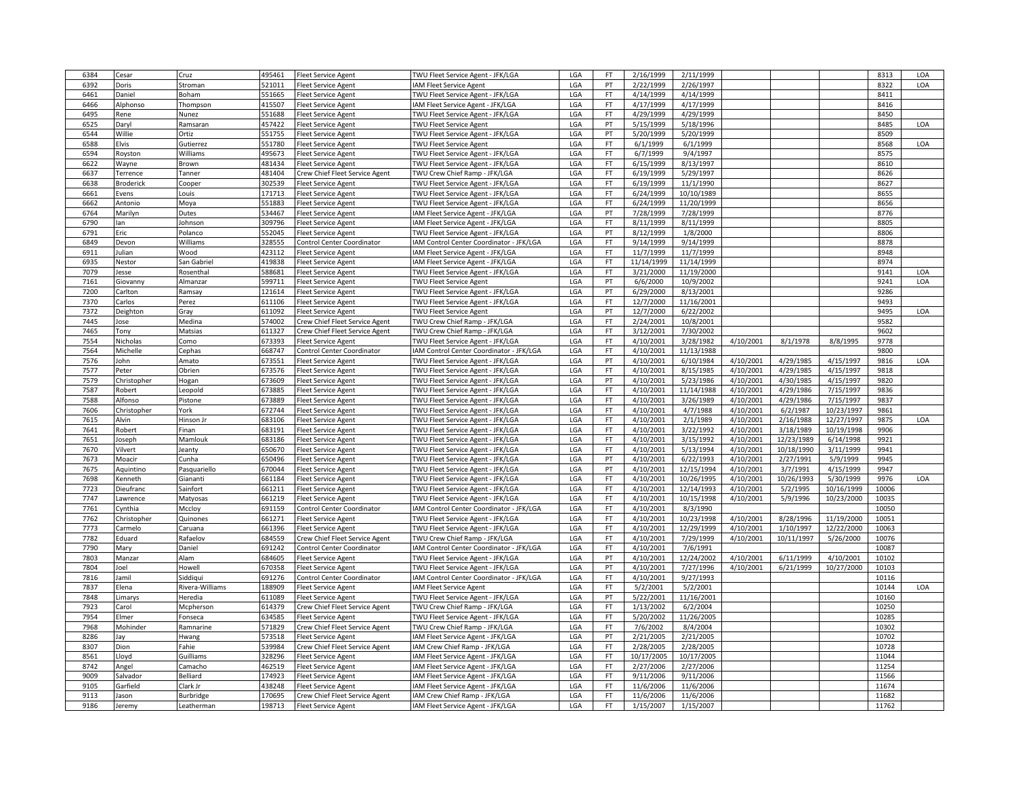| 6384 | Cesar       | Cruz            | 495461 | <b>Fleet Service Agent</b>        | TWU Fleet Service Agent - JFK/LGA        | LGA        | <b>FT</b> | 2/16/1999              | 2/11/1999  |           |            |                        | 8313  | LOA |
|------|-------------|-----------------|--------|-----------------------------------|------------------------------------------|------------|-----------|------------------------|------------|-----------|------------|------------------------|-------|-----|
| 6392 | Doris       | Stroman         | 521011 | <b>Fleet Service Agent</b>        | AM Fleet Service Agent                   | LGA        | PT        | 2/22/1999              | 2/26/1997  |           |            |                        | 8322  | LOA |
| 6461 | Daniel      | Boham           | 551665 | <b>Fleet Service Agent</b>        | TWU Fleet Service Agent - JFK/LGA        | LGA        | FT        | 4/14/1999              | 4/14/1999  |           |            |                        | 8411  |     |
| 6466 | Alphonso    | Thompson        | 415507 | <b>Fleet Service Agent</b>        | IAM Fleet Service Agent - JFK/LGA        | LGA        | <b>FT</b> | 4/17/1999              | 4/17/1999  |           |            |                        | 8416  |     |
| 6495 | Rene        | Nunez           | 551688 | Fleet Service Agent               | TWU Fleet Service Agent - JFK/LGA        | LGA        | <b>FT</b> | 4/29/1999              | 4/29/1999  |           |            |                        | 8450  |     |
| 6525 |             | Ramsaran        | 457422 |                                   | TWU Fleet Service Agent                  | LGA        | PT        | 5/15/1999              | 5/18/1996  |           |            |                        | 8485  | LOA |
|      | Daryl       |                 |        | <b>Fleet Service Agent</b>        |                                          |            |           |                        |            |           |            |                        |       |     |
| 6544 | Willie      | Ortiz           | 551755 | <b>Fleet Service Agent</b>        | TWU Fleet Service Agent - JFK/LGA        | LGA        | PT        | 5/20/1999              | 5/20/1999  |           |            |                        | 8509  |     |
| 6588 | Elvis       | Gutierrez       | 551780 | <b>Fleet Service Agent</b>        | TWU Fleet Service Agent                  | LGA        | <b>FT</b> | 6/1/1999               | 6/1/1999   |           |            |                        | 8568  | LOA |
| 6594 | Royston     | Williams        | 495673 | <b>Fleet Service Agent</b>        | TWU Fleet Service Agent - JFK/LGA        | LGA        | <b>FT</b> | 6/7/1999               | 9/4/1997   |           |            |                        | 8575  |     |
| 6622 | Wayne       | Brown           | 481434 | <b>Fleet Service Agent</b>        | TWU Fleet Service Agent - JFK/LGA        | LGA        | <b>FT</b> | 6/15/1999              | 8/13/1997  |           |            |                        | 8610  |     |
| 6637 | Terrence    | Tanner          | 481404 | Crew Chief Fleet Service Agent    | TWU Crew Chief Ramp - JFK/LGA            | LGA        | <b>FT</b> | 6/19/1999              | 5/29/1997  |           |            |                        | 8626  |     |
| 6638 | Broderick   | Cooper          | 302539 | <b>Fleet Service Agent</b>        | TWU Fleet Service Agent - JFK/LGA        | LGA        | <b>FT</b> | 6/19/1999              | 11/1/1990  |           |            |                        | 8627  |     |
| 6661 | Evens       | Louis           | 171713 | <b>Fleet Service Agent</b>        | TWU Fleet Service Agent - JFK/LGA        | LGA        | <b>FT</b> | 6/24/1999              | 10/10/1989 |           |            |                        | 8655  |     |
| 6662 | Antonio     | Moya            | 551883 | <b>Fleet Service Agent</b>        | TWU Fleet Service Agent - JFK/LGA        | LGA        | FT        | 6/24/1999              | 11/20/1999 |           |            |                        | 8656  |     |
| 6764 | Marilyn     | Dutes           | 534467 | <b>Fleet Service Agent</b>        | IAM Fleet Service Agent - JFK/LGA        | LGA        | PT        | 7/28/1999              | 7/28/1999  |           |            |                        | 8776  |     |
| 6790 | lan         | Johnson         | 309796 | <b>Fleet Service Agent</b>        | AM Fleet Service Agent - JFK/LGA         | LGA        | <b>FT</b> | 8/11/1999              | 8/11/1999  |           |            |                        | 8805  |     |
| 6791 | Eric        | Polanco         | 552045 | <b>Fleet Service Agent</b>        | TWU Fleet Service Agent - JFK/LGA        | LGA        | PT        | 8/12/1999              | 1/8/2000   |           |            |                        | 8806  |     |
| 6849 | Devon       | Williams        | 328555 | Control Center Coordinator        | IAM Control Center Coordinator - JFK/LGA | LGA        | FT        | 9/14/1999              | 9/14/1999  |           |            |                        | 8878  |     |
| 6911 | ulian       | Wood            | 423112 | <b>Fleet Service Agent</b>        | AM Fleet Service Agent - JFK/LGA         | LGA        | <b>FT</b> | 11/7/1999              | 11/7/1999  |           |            |                        | 8948  |     |
| 6935 | Nestor      | San Gabriel     | 419838 | <b>Fleet Service Agent</b>        | IAM Fleet Service Agent - JFK/LGA        | LGA        | FT        | 11/14/1999             | 11/14/1999 |           |            |                        | 8974  |     |
| 7079 | lesse       | Rosenthal       | 588681 | <b>Fleet Service Agent</b>        | TWU Fleet Service Agent - JFK/LGA        | LGA        | <b>FT</b> | 3/21/2000              | 11/19/2000 |           |            |                        | 9141  | LOA |
| 7161 |             |                 | 599711 |                                   |                                          | LGA        | PT        | 6/6/2000               |            |           |            |                        | 9241  |     |
|      | Giovanny    | Almanzar        |        | Fleet Service Agent               | <b>TWU Fleet Service Agent</b>           |            |           |                        | 10/9/2002  |           |            |                        |       | LOA |
| 7200 | Carlton     | Ramsay          | 121614 | <b>Fleet Service Agent</b>        | TWU Fleet Service Agent - JFK/LGA        | LGA        | PT        | 6/29/2000              | 8/13/2001  |           |            |                        | 9286  |     |
| 7370 | Carlos      | Perez           | 611106 | <b>Fleet Service Agent</b>        | TWU Fleet Service Agent - JFK/LGA        | LGA        | <b>FT</b> | 12/7/2000              | 11/16/2001 |           |            |                        | 9493  |     |
| 7372 | Deighton    | Gray            | 611092 | <b>Fleet Service Agent</b>        | TWU Fleet Service Agent                  | LGA        | PT        | 12/7/2000              | 6/22/2002  |           |            |                        | 9495  | LOA |
| 7445 | lose        | Medina          | 574002 | Crew Chief Fleet Service Agent    | TWU Crew Chief Ramp - JFK/LGA            | LGA        | <b>FT</b> | 2/24/2001              | 10/8/2001  |           |            |                        | 9582  |     |
| 7465 | Tony        | Matsias         | 611327 | Crew Chief Fleet Service Agent    | TWU Crew Chief Ramp - JFK/LGA            | LGA        | FT        | 3/12/2001              | 7/30/2002  |           |            |                        | 9602  |     |
| 7554 | Nicholas    | Como            | 673393 | <b>Fleet Service Agent</b>        | TWU Fleet Service Agent - JFK/LGA        | LGA        | <b>FT</b> | 4/10/2001              | 3/28/1982  | 4/10/2001 | 8/1/1978   | 8/8/1995               | 9778  |     |
| 7564 | Michelle    | Cephas          | 668747 | Control Center Coordinator        | IAM Control Center Coordinator - JFK/LGA | LGA        | <b>FT</b> | 4/10/2001              | 11/13/1988 |           |            |                        | 9800  |     |
| 7576 | John        | Amato           | 673551 | <b>Fleet Service Agent</b>        | TWU Fleet Service Agent - JFK/LGA        | LGA        | PT        | 4/10/2001              | 6/10/1984  | 4/10/2001 | 4/29/1985  | 4/15/1997              | 9816  | LOA |
| 7577 | Peter       | Obrien          | 673576 | <b>Fleet Service Agent</b>        | TWU Fleet Service Agent - JFK/LGA        | LGA        | <b>FT</b> | 4/10/2001              | 8/15/1985  | 4/10/2001 | 4/29/1985  | 4/15/1997              | 9818  |     |
| 7579 | Christopher | Hogan           | 673609 | leet Service Agent                | TWU Fleet Service Agent - JFK/LGA        | LGA        | PT        | 4/10/2001              | 5/23/1986  | 4/10/2001 | 4/30/1985  | 4/15/1997              | 9820  |     |
| 7587 | obert       | Leopold         | 673885 | Fleet Service Agent               | TWU Fleet Service Agent - JFK/LGA        | LGA        | <b>FT</b> | 4/10/2001              | 11/14/1988 | 4/10/2001 | 4/29/1986  | 7/15/1997              | 9836  |     |
| 7588 | Alfonso     | Pistone         | 673889 | <b>Fleet Service Agent</b>        | TWU Fleet Service Agent - JFK/LGA        | LGA        | <b>FT</b> | 4/10/2001              | 3/26/1989  | 4/10/2001 | 4/29/1986  | 7/15/1997              | 9837  |     |
| 7606 | Christopher | York            | 672744 | <b>Fleet Service Agent</b>        | TWU Fleet Service Agent - JFK/LGA        | LGA        | FT        | 4/10/2001              | 4/7/1988   | 4/10/2001 | 6/2/1987   | 10/23/1997             | 9861  |     |
| 7615 | Alvin       | Hinson Jr       | 683106 | Fleet Service Agent               | TWU Fleet Service Agent - JFK/LGA        | LGA        | <b>FT</b> | 4/10/2001              | 2/1/1989   | 4/10/2001 | 2/16/1988  | 12/27/1997             | 9875  | LOA |
| 7641 | Robert      | Finan           | 683191 | <b>Fleet Service Agent</b>        | TWU Fleet Service Agent - JFK/LGA        | LGA        | <b>FT</b> | 4/10/2001              | 3/22/1992  | 4/10/2001 | 3/18/1989  | 10/19/1998             | 9906  |     |
| 7651 |             |                 |        |                                   |                                          |            | <b>FT</b> |                        |            | 4/10/2001 | 12/23/1989 |                        | 9921  |     |
|      | Joseph      | Mamlouk         | 683186 | <b>Fleet Service Agent</b>        | TWU Fleet Service Agent - JFK/LGA        | LGA<br>LGA | <b>FT</b> | 4/10/2001<br>4/10/2001 | 3/15/1992  | 4/10/2001 | 10/18/1990 | 6/14/1998<br>3/11/1999 | 9941  |     |
| 7670 | Vilvert     | Jeanty          | 650670 | <b>Fleet Service Agent</b>        | TWU Fleet Service Agent - JFK/LGA        |            |           |                        | 5/13/1994  |           |            |                        |       |     |
| 7673 | Moacir      | Cunha           | 650496 | <b>Fleet Service Agent</b>        | TWU Fleet Service Agent - JFK/LGA        | LGA        | PT        | 4/10/2001              | 6/22/1993  | 4/10/2001 | 2/27/1991  | 5/9/1999               | 9945  |     |
| 7675 | Aquintino   | Pasquariello    | 670044 | <b>Fleet Service Agent</b>        | TWU Fleet Service Agent - JFK/LGA        | LGA        | PT        | 4/10/2001              | 12/15/1994 | 4/10/2001 | 3/7/1991   | 4/15/1999              | 9947  |     |
| 7698 | Kenneth     | Giananti        | 661184 | <b>Fleet Service Agent</b>        | TWU Fleet Service Agent - JFK/LGA        | LGA        | <b>FT</b> | 4/10/2001              | 10/26/1995 | 4/10/2001 | 10/26/1993 | 5/30/1999              | 9976  | LOA |
| 7723 | Dieufranc   | Sainfort        | 661211 | <b>Fleet Service Agent</b>        | TWU Fleet Service Agent - JFK/LGA        | LGA        | <b>FT</b> | 4/10/2001              | 12/14/1993 | 4/10/2001 | 5/2/1995   | 10/16/1999             | 10006 |     |
| 7747 | Lawrence    | Matyosas        | 661219 | <b>Fleet Service Agent</b>        | TWU Fleet Service Agent - JFK/LGA        | LGA        | FT        | 4/10/2001              | 10/15/1998 | 4/10/2001 | 5/9/1996   | 10/23/2000             | 10035 |     |
| 7761 | Cynthia     | Mccloy          | 691159 | Control Center Coordinator        | IAM Control Center Coordinator - JFK/LGA | LGA        | FT        | 4/10/2001              | 8/3/1990   |           |            |                        | 10050 |     |
| 7762 | Christopher | Quinones        | 661271 | <b>Fleet Service Agent</b>        | TWU Fleet Service Agent - JFK/LGA        | LGA        | <b>FT</b> | 4/10/2001              | 10/23/1998 | 4/10/2001 | 8/28/1996  | 11/19/2000             | 10051 |     |
| 7773 | Carmelo     | Caruana         | 661396 | <b>Fleet Service Agent</b>        | TWU Fleet Service Agent - JFK/LGA        | LGA        | FT        | 4/10/2001              | 12/29/1999 | 4/10/2001 | 1/10/1997  | 12/22/2000             | 10063 |     |
| 7782 | Eduard      | Rafaelov        | 684559 | Crew Chief Fleet Service Agent    | TWU Crew Chief Ramp - JFK/LGA            | LGA        | <b>FT</b> | 4/10/2001              | 7/29/1999  | 4/10/2001 | 10/11/1997 | 5/26/2000              | 10076 |     |
| 7790 | Mary        | Daniel          | 691242 | <b>Control Center Coordinator</b> | AM Control Center Coordinator - JFK/LGA  | LGA        | <b>FT</b> | 4/10/2001              | 7/6/1991   |           |            |                        | 10087 |     |
| 7803 | Manzar      | Alam            | 684605 | <b>Fleet Service Agent</b>        | TWU Fleet Service Agent - JFK/LGA        | LGA        | PT        | 4/10/2001              | 12/24/2002 | 4/10/2001 | 6/11/1999  | 4/10/2001              | 10102 |     |
| 7804 | Joel        | Howell          | 670358 | <b>Fleet Service Agent</b>        | TWU Fleet Service Agent - JFK/LGA        | LGA        | PT        | 4/10/2001              | 7/27/1996  | 4/10/2001 | 6/21/1999  | 10/27/2000             | 10103 |     |
| 7816 | Jamil       | Siddiqui        | 691276 | Control Center Coordinator        | IAM Control Center Coordinator - JFK/LGA | LGA        | FT        | 4/10/2001              | 9/27/1993  |           |            |                        | 10116 |     |
| 7837 | Elena       | Rivera-Williams | 188909 | <b>Fleet Service Agent</b>        | IAM Fleet Service Agent                  | LGA        | <b>FT</b> | 5/2/2001               | 5/2/2001   |           |            |                        | 10144 | LOA |
| 7848 | Limarys     | Heredia         | 611089 | <b>Fleet Service Agent</b>        | TWU Fleet Service Agent - JFK/LGA        | LGA        | PT        | 5/22/2001              | 11/16/2001 |           |            |                        | 10160 |     |
| 7923 | Carol       | Mcpherson       | 614379 | Crew Chief Fleet Service Agent    | TWU Crew Chief Ramp - JFK/LGA            | LGA        | <b>FT</b> | 1/13/2002              | 6/2/2004   |           |            |                        | 10250 |     |
|      |             |                 |        |                                   |                                          |            |           |                        |            |           |            |                        |       |     |
| 7954 | Elmer       | Fonseca         | 634585 | <b>Fleet Service Agent</b>        | TWU Fleet Service Agent - JFK/LGA        | LGA        | <b>FT</b> | 5/20/2002              | 11/26/2005 |           |            |                        | 10285 |     |
| 7968 | Mohinder    | Ramnarine       | 571829 | Crew Chief Fleet Service Agent    | TWU Crew Chief Ramp - JFK/LGA            | LGA        | <b>FT</b> | 7/6/2002               | 8/4/2004   |           |            |                        | 10302 |     |
| 8286 | Jav         | Hwang           | 573518 | <b>Fleet Service Agent</b>        | IAM Fleet Service Agent - JFK/LGA        | LGA        | PT        | 2/21/2005              | 2/21/2005  |           |            |                        | 10702 |     |
| 8307 | Dion        | Fahie           | 539984 | Crew Chief Fleet Service Agent    | IAM Crew Chief Ramp - JFK/LGA            | LGA        | FT        | 2/28/2005              | 2/28/2005  |           |            |                        | 10728 |     |
| 8561 | Lloyd       | Guilliams       | 328296 | <b>Fleet Service Agent</b>        | IAM Fleet Service Agent - JFK/LGA        | LGA        | <b>FT</b> | 10/17/2005             | 10/17/2005 |           |            |                        | 11044 |     |
| 8742 | Angel       | Camacho         | 462519 | <b>Fleet Service Agent</b>        | AM Fleet Service Agent - JFK/LGA         | LGA        | <b>FT</b> | 2/27/2006              | 2/27/2006  |           |            |                        | 11254 |     |
| 9009 | Salvador    | Belliard        | 174923 | <b>Fleet Service Agent</b>        | AM Fleet Service Agent - JFK/LGA         | LGA        | FT        | 9/11/2006              | 9/11/2006  |           |            |                        | 11566 |     |
| 9105 | Garfield    | Clark Jr        | 438248 | <b>Fleet Service Agent</b>        | AM Fleet Service Agent - JFK/LGA         | LGA        | <b>FT</b> | 11/6/2006              | 11/6/2006  |           |            |                        | 11674 |     |
|      |             |                 |        |                                   |                                          |            |           |                        |            |           |            |                        |       |     |
| 9113 | ason        | Burbridge       | 170695 | Crew Chief Fleet Service Agent    | AM Crew Chief Ramp - JFK/LGA             | LGA        | FT        | 11/6/2006              | 11/6/2006  |           |            |                        | 11682 |     |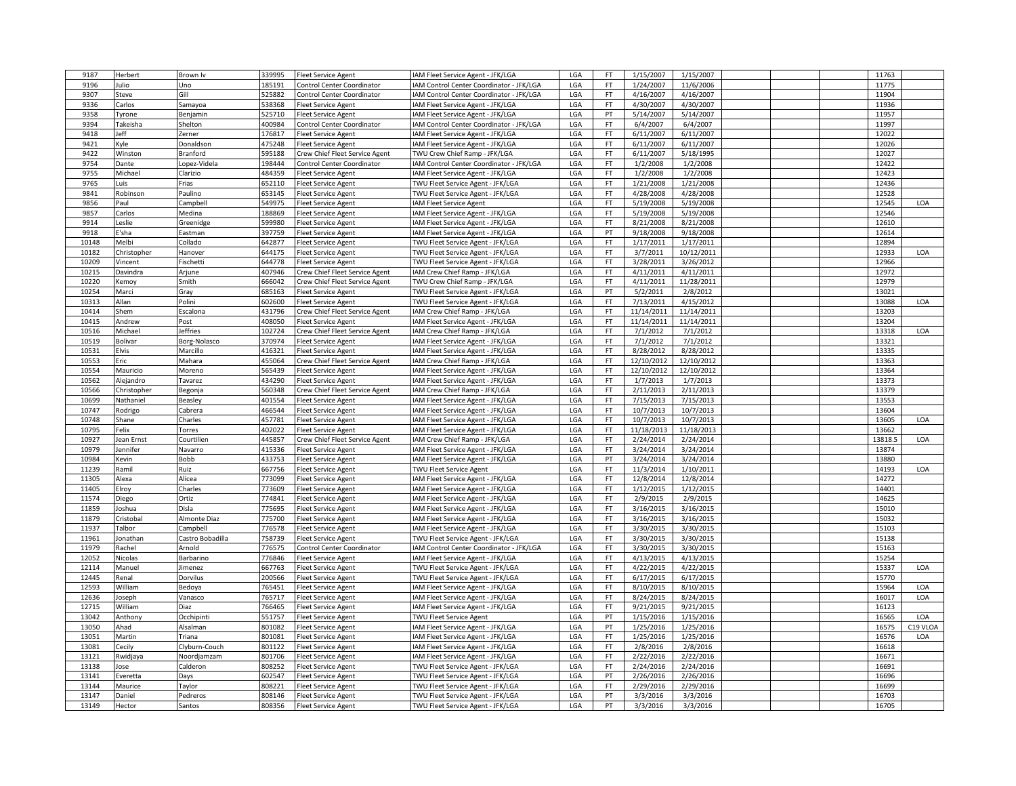| 9187  | Herbert           | Brown Iv         | 339995           | <b>Fleet Service Agent</b>        | IAM Fleet Service Agent - JFK/LGA        | LGA | FT.             | 1/15/2007  | 1/15/2007  |  | 11763          |          |
|-------|-------------------|------------------|------------------|-----------------------------------|------------------------------------------|-----|-----------------|------------|------------|--|----------------|----------|
| 9196  | Julio             | Uno              | 185191           | <b>Control Center Coordinator</b> | IAM Control Center Coordinator - JFK/LGA | LGA | FT              | 1/24/2007  | 11/6/2006  |  | 11775          |          |
| 9307  | Steve             | Gill             | 525882           | Control Center Coordinator        | IAM Control Center Coordinator - JFK/LGA | LGA | <b>FT</b>       | 4/16/2007  | 4/16/2007  |  | 11904          |          |
| 9336  | Carlos            | Samayoa          | 538368           | <b>Fleet Service Agent</b>        | IAM Fleet Service Agent - JFK/LGA        | LGA | FT              | 4/30/2007  | 4/30/2007  |  | 11936          |          |
| 9358  | Tyrone            | Benjamin         | 525710           | <b>Fleet Service Agent</b>        | IAM Fleet Service Agent - JFK/LGA        | LGA | PT              | 5/14/2007  | 5/14/2007  |  | 11957          |          |
| 9394  | Takeisha          | Shelton          | 400984           | Control Center Coordinator        | IAM Control Center Coordinator - JFK/LGA | LGA | <b>FT</b>       | 6/4/2007   | 6/4/2007   |  | 11997          |          |
| 9418  | leff              | Zerner           | 176817           | <b>Fleet Service Agent</b>        | IAM Fleet Service Agent - JFK/LGA        | LGA | FT.             | 6/11/2007  | 6/11/2007  |  | 12022          |          |
| 9421  | Kyle              | Donaldson        | 475248           | <b>Fleet Service Agent</b>        | IAM Fleet Service Agent - JFK/LGA        | LGA | FT              | 6/11/2007  | 6/11/2007  |  | 12026          |          |
| 9422  | Winston           | Branford         | 595188           | Crew Chief Fleet Service Agent    | TWU Crew Chief Ramp - JFK/LGA            | LGA | FT              | 6/11/2007  | 5/18/1995  |  | 12027          |          |
| 9754  | Dante             | Lopez-Videla     | 198444           | Control Center Coordinator        | IAM Control Center Coordinator - JFK/LGA | LGA | <b>FT</b>       | 1/2/2008   | 1/2/2008   |  | 12422          |          |
| 9755  | Michael           | Clarizio         | 484359           | <b>Fleet Service Agent</b>        | IAM Fleet Service Agent - JFK/LGA        | LGA | FT              | 1/2/2008   | 1/2/2008   |  | 12423          |          |
| 9765  | Luis              | Frias            | 652110           | <b>Fleet Service Agent</b>        | TWU Fleet Service Agent - JFK/LGA        | LGA | FT              | 1/21/2008  | 1/21/2008  |  | 12436          |          |
| 9841  | Robinson          | Paulino          | 653145           | <b>Fleet Service Agent</b>        | TWU Fleet Service Agent - JFK/LGA        | LGA | <b>FT</b>       | 4/28/2008  | 4/28/2008  |  | 12528          |          |
| 9856  | Paul              | Campbell         | 549975           | <b>Fleet Service Agent</b>        | IAM Fleet Service Agent                  | LGA | FT              | 5/19/2008  | 5/19/2008  |  | 12545          | LOA      |
| 9857  | Carlos            | Medina           | 188869           | <b>Fleet Service Agent</b>        | IAM Fleet Service Agent - JFK/LGA        | LGA | <b>FT</b>       | 5/19/2008  | 5/19/2008  |  | 12546          |          |
| 9914  | Leslie            | Greenidge        | 599980           | <b>Fleet Service Agent</b>        | IAM Fleet Service Agent - JFK/LGA        | LGA | <b>FT</b>       | 8/21/2008  | 8/21/2008  |  | 12610          |          |
| 9918  | :'sha             | Eastman          | 397759           | <b>Fleet Service Agent</b>        | IAM Fleet Service Agent - JFK/LGA        | LGA | PT              | 9/18/2008  | 9/18/2008  |  | 12614          |          |
| 10148 | Melbi             | Collado          | 642877           | <b>Fleet Service Agent</b>        | TWU Fleet Service Agent - JFK/LGA        | LGA | FT              | 1/17/2011  | 1/17/2011  |  | 12894          |          |
| 10182 | Christopher       | Hanover          | 644175           | <b>Fleet Service Agent</b>        | TWU Fleet Service Agent - JFK/LGA        | LGA | FT              | 3/7/2011   | 10/12/2011 |  | 12933          | LOA      |
| 10209 | Vincent           | Fischetti        | 644778           | <b>Fleet Service Agent</b>        | TWU Fleet Service Agent - JFK/LGA        | LGA | <b>FT</b>       | 3/28/2011  | 3/26/2012  |  | 12966          |          |
| 10215 | Davindra          | Arjune           | 407946           | Crew Chief Fleet Service Agent    | IAM Crew Chief Ramp - JFK/LGA            | LGA | <b>FT</b>       | 4/11/2011  | 4/11/2011  |  | 12972          |          |
| 10220 | Kemoy             | Smith            | 666042           | Crew Chief Fleet Service Agent    | TWU Crew Chief Ramp - JFK/LGA            | LGA | FT              | 4/11/2011  | 11/28/2011 |  | 12979          |          |
| 10254 | Marci             | Gray             | 685163           | <b>Fleet Service Agent</b>        | TWU Fleet Service Agent - JFK/LGA        | LGA | PT              | 5/2/2011   | 2/8/2012   |  | 13021          |          |
| 10313 | Allan             | Polini           | 602600           | <b>Fleet Service Agent</b>        | TWU Fleet Service Agent - JFK/LGA        | LGA | <b>FT</b>       | 7/13/2011  | 4/15/2012  |  | 13088          | LOA      |
| 10414 | Shem              | Escalona         | 431796           | Crew Chief Fleet Service Agent    | IAM Crew Chief Ramp - JFK/LGA            | LGA | FT              | 11/14/2011 | 11/14/2011 |  | 13203          |          |
| 10415 | Andrew            | Post             | 408050           | <b>Fleet Service Agent</b>        | IAM Fleet Service Agent - JFK/LGA        | LGA | FT              | 11/14/2011 | 11/14/2011 |  | 13204          |          |
| 10516 |                   |                  | 102724           |                                   | IAM Crew Chief Ramp - JFK/LGA            | LGA | FT              | 7/1/2012   | 7/1/2012   |  | 13318          | LOA      |
|       | Michael           | Jeffries         |                  | Crew Chief Fleet Service Agent    |                                          |     |                 |            |            |  |                |          |
| 10519 | Bolivar<br>Elvis  | Borg-Nolasco     | 370974           | <b>Fleet Service Agent</b>        | IAM Fleet Service Agent - JFK/LGA        | LGA | FT.             | 7/1/2012   | 7/1/2012   |  | 13321<br>13335 |          |
| 10531 |                   | Marcillo         | 416321<br>455064 | <b>Fleet Service Agent</b>        | IAM Fleet Service Agent - JFK/LGA        | LGA | FT<br><b>FT</b> | 8/28/2012  | 8/28/2012  |  | 13363          |          |
| 10553 | Eric              | Mahara           |                  | Crew Chief Fleet Service Agent    | IAM Crew Chief Ramp - JFK/LGA            | LGA |                 | 12/10/2012 | 12/10/2012 |  |                |          |
| 10554 | Mauricio          | Moreno           | 565439           | <b>Fleet Service Agent</b>        | IAM Fleet Service Agent - JFK/LGA        | LGA | <b>FT</b>       | 12/10/2012 | 12/10/2012 |  | 13364          |          |
| 10562 | Alejandro         | Tavarez          | 434290           | <b>Fleet Service Agent</b>        | IAM Fleet Service Agent - JFK/LGA        | LGA | FT              | 1/7/2013   | 1/7/2013   |  | 13373          |          |
| 10566 | Christopher       | Begonja          | 560348<br>401554 | Crew Chief Fleet Service Agent    | IAM Crew Chief Ramp - JFK/LGA            | LGA | FT<br>FT        | 2/11/2013  | 2/11/2013  |  | 13379<br>13553 |          |
| 10699 | Nathaniel         | Beasley          |                  | <b>Fleet Service Agent</b>        | IAM Fleet Service Agent - JFK/LGA        | LGA |                 | 7/15/2013  | 7/15/2013  |  |                |          |
| 10747 | Rodrigo           | Cabrera          | 466544           | <b>Fleet Service Agent</b>        | IAM Fleet Service Agent - JFK/LGA        | LGA | FT              | 10/7/2013  | 10/7/2013  |  | 13604          |          |
| 10748 | Shane             | Charles          | 457781           | <b>Fleet Service Agent</b>        | IAM Fleet Service Agent - JFK/LGA        | LGA | FT              | 10/7/2013  | 10/7/2013  |  | 13605          | LOA      |
| 10795 | Felix             | Torres           | 402022           | <b>Fleet Service Agent</b>        | IAM Fleet Service Agent - JFK/LGA        | LGA | <b>FT</b>       | 11/18/2013 | 11/18/2013 |  | 13662          |          |
| 10927 | <b>Jean Ernst</b> | Courtilien       | 445857           | Crew Chief Fleet Service Agent    | IAM Crew Chief Ramp - JFK/LGA            | LGA | FT              | 2/24/2014  | 2/24/2014  |  | 13818.5        | LOA      |
| 10979 | Jennifer          | Navarro          | 415336           | <b>Fleet Service Agent</b>        | IAM Fleet Service Agent - JFK/LGA        | LGA | FT              | 3/24/2014  | 3/24/2014  |  | 13874          |          |
| 10984 | <b>Cevin</b>      | Bobb             | 433753           | <b>Fleet Service Agent</b>        | IAM Fleet Service Agent - JFK/LGA        | LGA | PT              | 3/24/2014  | 3/24/2014  |  | 13880          |          |
| 11239 | Ramil             | Ruiz             | 667756           | <b>Fleet Service Agent</b>        | TWU Fleet Service Agent                  | LGA | FT.             | 11/3/2014  | 1/10/2011  |  | 14193          | LOA      |
| 11305 | Alexa             | Alicea           | 773099           | <b>Fleet Service Agent</b>        | IAM Fleet Service Agent - JFK/LGA        | LGA | <b>FT</b>       | 12/8/2014  | 12/8/2014  |  | 14272          |          |
| 11405 | Elroy             | Charles          | 773609           | <b>Fleet Service Agent</b>        | IAM Fleet Service Agent - JFK/LGA        | LGA | FT              | 1/12/2015  | 1/12/2015  |  | 14401          |          |
| 11574 | Diego             | Ortiz            | 774841           | <b>Fleet Service Agent</b>        | IAM Fleet Service Agent - JFK/LGA        | LGA | FT              | 2/9/2015   | 2/9/2015   |  | 14625          |          |
| 11859 | Joshua            | Disla            | 775695           | <b>Fleet Service Agent</b>        | IAM Fleet Service Agent - JFK/LGA        | LGA | FT              | 3/16/2015  | 3/16/2015  |  | 15010          |          |
| 11879 | Cristobal         | Almonte Diaz     | 775700           | <b>Fleet Service Agent</b>        | IAM Fleet Service Agent - JFK/LGA        | LGA | FT              | 3/16/2015  | 3/16/2015  |  | 15032          |          |
| 11937 | Talbor            | Campbell         | 776578           | <b>Fleet Service Agent</b>        | IAM Fleet Service Agent - JFK/LGA        | LGA | <b>FT</b>       | 3/30/2015  | 3/30/2015  |  | 15103          |          |
| 11961 | Jonathan          | Castro Bobadilla | 758739           | <b>Fleet Service Agent</b>        | TWU Fleet Service Agent - JFK/LGA        | LGA | FT              | 3/30/2015  | 3/30/2015  |  | 15138          |          |
| 11979 | Rachel            | Arnold           | 776575           | Control Center Coordinator        | IAM Control Center Coordinator - JFK/LGA | LGA | FT              | 3/30/2015  | 3/30/2015  |  | 15163          |          |
| 12052 | Nicolas           | Barbarino        | 776846           | <b>Fleet Service Agent</b>        | IAM Fleet Service Agent - JFK/LGA        | LGA | <b>FT</b>       | 4/13/2015  | 4/13/2015  |  | 15254          |          |
| 12114 | Manuel            | Jimenez          | 667763           | <b>Fleet Service Agent</b>        | TWU Fleet Service Agent - JFK/LGA        | LGA | FT              | 4/22/2015  | 4/22/2015  |  | 15337          | LOA      |
| 12445 | Renal             | Dorvilus         | 200566           | <b>Fleet Service Agent</b>        | TWU Fleet Service Agent - JFK/LGA        | LGA | FT              | 6/17/2015  | 6/17/2015  |  | 15770          |          |
| 12593 | William           | Bedoya           | 765451           | <b>Fleet Service Agent</b>        | IAM Fleet Service Agent - JFK/LGA        | LGA | FT              | 8/10/2015  | 8/10/2015  |  | 15964          | LOA      |
| 12636 | Joseph            | Vanasco          | 765717           | <b>Fleet Service Agent</b>        | IAM Fleet Service Agent - JFK/LGA        | LGA | <b>FT</b>       | 8/24/2015  | 8/24/2015  |  | 16017          | LOA      |
| 12715 | William           | Diaz             | 766465           | <b>Fleet Service Agent</b>        | IAM Fleet Service Agent - JFK/LGA        | LGA | FT.             | 9/21/2015  | 9/21/2015  |  | 16123          |          |
| 13042 | Anthony           | Occhipinti       | 551757           | <b>Fleet Service Agent</b>        | TWU Fleet Service Agent                  | LGA | PT              | 1/15/2016  | 1/15/2016  |  | 16565          | LOA      |
| 13050 | Ahad              | Alsalman         | 801082           | <b>Fleet Service Agent</b>        | IAM Fleet Service Agent - JFK/LGA        | LGA | PT              | 1/25/2016  | 1/25/2016  |  | 16575          | C19 VLOA |
| 13051 | Martin            | Triana           | 801081           | <b>Fleet Service Agent</b>        | IAM Fleet Service Agent - JFK/LGA        | LGA | FT              | 1/25/2016  | 1/25/2016  |  | 16576          | LOA      |
| 13081 | Cecily            | Clyburn-Couch    | 801122           | <b>Fleet Service Agent</b>        | IAM Fleet Service Agent - JFK/LGA        | LGA | FT              | 2/8/2016   | 2/8/2016   |  | 16618          |          |
| 13121 | Rwidjaya          | Noordjamzam      | 801706           | <b>Fleet Service Agent</b>        | IAM Fleet Service Agent - JFK/LGA        | LGA | FT              | 2/22/2016  | 2/22/2016  |  | 16671          |          |
| 13138 | lose              | Calderon         | 808252           | <b>Fleet Service Agent</b>        | TWU Fleet Service Agent - JFK/LGA        | LGA | FT              | 2/24/2016  | 2/24/2016  |  | 16691          |          |
| 13141 | Everetta          | Days             | 602547           | <b>Fleet Service Agent</b>        | TWU Fleet Service Agent - JFK/LGA        | LGA | PT              | 2/26/2016  | 2/26/2016  |  | 16696          |          |
| 13144 | Maurice           | Taylor           | 808221           | <b>Fleet Service Agent</b>        | TWU Fleet Service Agent - JFK/LGA        | LGA | FT              | 2/29/2016  | 2/29/2016  |  | 16699          |          |
| 13147 | Daniel            | Pedreros         | 808146           | <b>Fleet Service Agent</b>        | TWU Fleet Service Agent - JFK/LGA        | LGA | PT              | 3/3/2016   | 3/3/2016   |  | 16703          |          |
| 13149 | Hector            | Santos           | 808356           | <b>Fleet Service Agent</b>        | TWU Fleet Service Agent - JFK/LGA        | LGA | PT              | 3/3/2016   | 3/3/2016   |  | 16705          |          |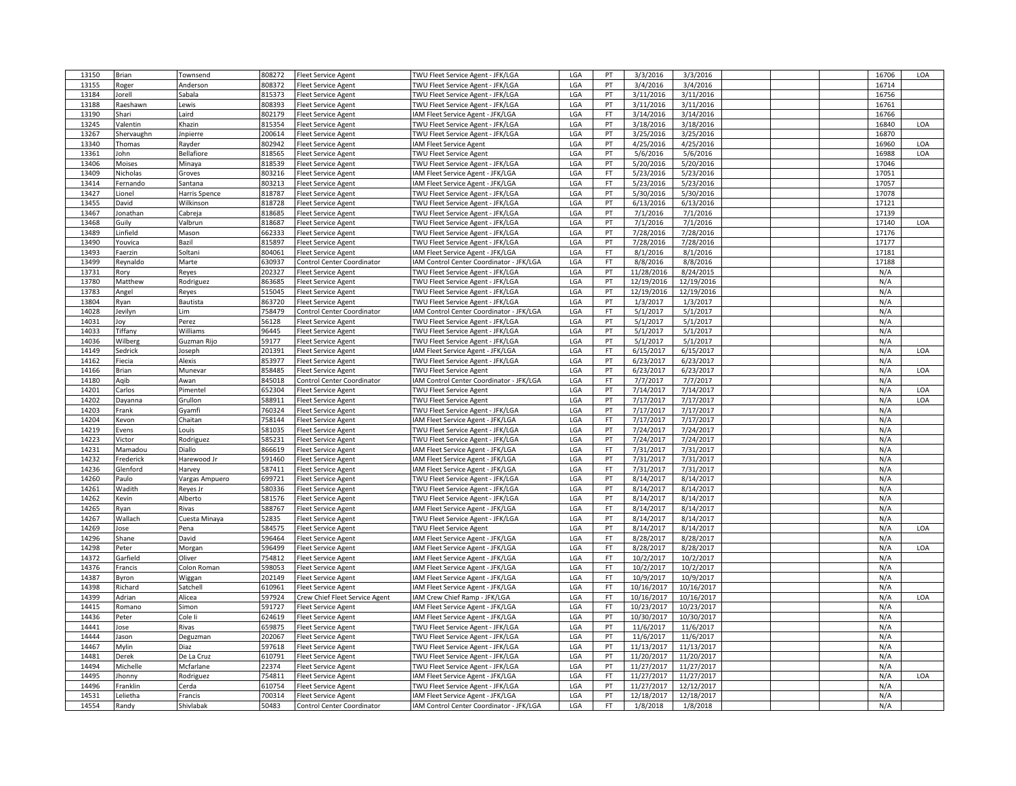| 13150          | Brian             | Townsend             | 808272           | <b>Fleet Service Agent</b>                               | TWU Fleet Service Agent - JFK/LGA                                             | LGA        | PT            | 3/3/2016               | 3/3/2016               |  | 16706      | LOA        |
|----------------|-------------------|----------------------|------------------|----------------------------------------------------------|-------------------------------------------------------------------------------|------------|---------------|------------------------|------------------------|--|------------|------------|
| 13155          | Roger             | Anderson             | 808372           | <b>Fleet Service Agent</b>                               | TWU Fleet Service Agent - JFK/LGA                                             | LGA        | PT            | 3/4/2016               | 3/4/2016               |  | 16714      |            |
| 13184          | Jorell            | Sabala               | 815373           | <b>Fleet Service Agent</b>                               | TWU Fleet Service Agent - JFK/LGA                                             | LGA        | PT            | 3/11/2016              | 3/11/2016              |  | 16756      |            |
| 13188          | Raeshawn          | Lewis                | 808393           | <b>Fleet Service Agent</b>                               | TWU Fleet Service Agent - JFK/LGA                                             | LGA        | PT            | 3/11/2016              | 3/11/2016              |  | 16761      |            |
| 13190          | Shari             | Laird                | 802179           | <b>Fleet Service Agent</b>                               | IAM Fleet Service Agent - JFK/LGA                                             | LGA        | FT            | 3/14/2016              | 3/14/2016              |  | 16766      |            |
| 13245          | /alentin          | Khazin               | 815354           |                                                          | TWU Fleet Service Agent - JFK/LGA                                             | LGA        | PT            | 3/18/2016              | 3/18/2016              |  | 16840      | LOA        |
|                |                   |                      |                  | <b>Fleet Service Agent</b>                               |                                                                               |            |               |                        |                        |  |            |            |
| 13267          | Shervaughn        | Jnpierre             | 200614           | <b>Fleet Service Agent</b>                               | TWU Fleet Service Agent - JFK/LGA                                             | LGA        | PT            | 3/25/2016              | 3/25/2016              |  | 16870      |            |
| 13340          | Thomas            | Rayder               | 802942           | <b>Fleet Service Agent</b>                               | <b>IAM Fleet Service Agent</b>                                                | LGA        | PT            | 4/25/2016              | 4/25/2016              |  | 16960      | LOA        |
| 13361          | John              | Bellafiore           | 818565           | <b>Fleet Service Agent</b>                               | TWU Fleet Service Agent                                                       | LGA        | PT            | 5/6/2016               | 5/6/2016               |  | 16988      | LOA        |
| 13406          | Moises            | Minaya               | 818539           | <b>Fleet Service Agent</b>                               | TWU Fleet Service Agent - JFK/LGA                                             | LGA        | PT            | 5/20/2016              | 5/20/2016              |  | 17046      |            |
| 13409          | Nicholas          | Groves               | 803216           | <b>Fleet Service Agent</b>                               | IAM Fleet Service Agent - JFK/LGA                                             | LGA        | FT            | 5/23/2016              | 5/23/2016              |  | 17051      |            |
| 13414          | Fernando          | Santana              | 803213           | <b>Fleet Service Agent</b>                               | IAM Fleet Service Agent - JFK/LGA                                             | LGA        | FT            | 5/23/2016              | 5/23/2016              |  | 17057      |            |
| 13427          | Lionel            | Harris Spence        | 818787           | <b>Fleet Service Agent</b>                               | TWU Fleet Service Agent - JFK/LGA                                             | LGA        | PT            | 5/30/2016              | 5/30/2016              |  | 17078      |            |
| 13455          | David             | Wilkinson            | 818728           | <b>Fleet Service Agent</b>                               | TWU Fleet Service Agent - JFK/LGA                                             | LGA        | PT            | 6/13/2016              | 6/13/2016              |  | 17121      |            |
| 13467          | Jonathan          | Cabreja              | 818685           | <b>Fleet Service Agent</b>                               | TWU Fleet Service Agent - JFK/LGA                                             | LGA        | PT            | 7/1/2016               | 7/1/2016               |  | 17139      |            |
| 13468          | Guily             | Valbrun              | 818687           | <b>Fleet Service Agent</b>                               | TWU Fleet Service Agent - JFK/LGA                                             | LGA        | PT            | 7/1/2016               | 7/1/2016               |  | 17140      | LOA        |
| 13489          | Linfield          | Mason                | 662333           | <b>Fleet Service Agent</b>                               | TWU Fleet Service Agent - JFK/LGA                                             | LGA        | PT            | 7/28/2016              | 7/28/2016              |  | 17176      |            |
| 13490          | Youvica           | Bazil                | 815897           | <b>Fleet Service Agent</b>                               | TWU Fleet Service Agent - JFK/LGA                                             | LGA        | PT            | 7/28/2016              | 7/28/2016              |  | 17177      |            |
| 13493          | Faerzin           | Soltani              | 804061           | <b>Fleet Service Agent</b>                               | IAM Fleet Service Agent - JFK/LGA                                             | LGA        | FT            | 8/1/2016               | 8/1/2016               |  | 17181      |            |
| 13499          |                   |                      | 630937           |                                                          |                                                                               |            | FT            |                        | 8/8/2016               |  | 17188      |            |
|                | Reynaldo          | Marte                |                  | Control Center Coordinator                               | IAM Control Center Coordinator - JFK/LGA                                      | LGA        |               | 8/8/2016               |                        |  |            |            |
| 13731          | Rory              | Reyes                | 202327           | <b>Fleet Service Agent</b>                               | TWU Fleet Service Agent - JFK/LGA                                             | LGA        | PT            | 11/28/2016             | 8/24/2015              |  | N/A        |            |
| 13780          | Matthew           | Rodriguez            | 863685           | <b>Fleet Service Agent</b>                               | TWU Fleet Service Agent - JFK/LGA                                             | LGA        | PT            | 12/19/2016             | 12/19/2016             |  | N/A        |            |
| 13783          | Angel             | Reyes                | 515045           | <b>Fleet Service Agent</b>                               | TWU Fleet Service Agent - JFK/LGA                                             | LGA        | PT            | 12/19/2016             | 12/19/2016             |  | N/A        |            |
| 13804          | Ryan              | Bautista             | 863720           | <b>Fleet Service Agent</b>                               | TWU Fleet Service Agent - JFK/LGA                                             | LGA        | PT            | 1/3/2017               | 1/3/2017               |  | N/A        |            |
| 14028          | Jevilyn           | Lim                  | 758479           | Control Center Coordinator                               | IAM Control Center Coordinator - JFK/LGA                                      | LGA        | $\mathsf{FT}$ | 5/1/2017               | 5/1/2017               |  | N/A        |            |
| 14031          | Joy               | Perez                | 56128            | <b>Fleet Service Agent</b>                               | TWU Fleet Service Agent - JFK/LGA                                             | LGA        | PT            | 5/1/2017               | 5/1/2017               |  | N/A        |            |
| 14033          | Tiffany           | Williams             | 96445            | <b>Fleet Service Agent</b>                               | TWU Fleet Service Agent - JFK/LGA                                             | LGA        | PT            | 5/1/2017               | 5/1/2017               |  | N/A        |            |
| 14036          | Wilberg           | Guzman Rijo          | 59177            | <b>Fleet Service Agent</b>                               | TWU Fleet Service Agent - JFK/LGA                                             | LGA        | PT            | 5/1/2017               | 5/1/2017               |  | N/A        |            |
| 14149          | Sedrick           | Joseph               | 201391           | <b>Fleet Service Agent</b>                               | IAM Fleet Service Agent - JFK/LGA                                             | LGA        | FT            | 6/15/2017              | 6/15/2017              |  | N/A        | LOA        |
| 14162          | Fiecia            | Alexis               | 853977           | <b>Fleet Service Agent</b>                               | TWU Fleet Service Agent - JFK/LGA                                             | LGA        | PT            | 6/23/2017              | 6/23/2017              |  | N/A        |            |
| 14166          | Brian             | Munevar              | 858485           | <b>Fleet Service Agent</b>                               | <b>TWU Fleet Service Agent</b>                                                | LGA        | PT            | 6/23/2017              | 6/23/2017              |  | N/A        | LOA        |
| 14180          | Agib              |                      | 845018           | <b>Control Center Coordinator</b>                        |                                                                               | LGA        | FT            | 7/7/2017               | 7/7/2017               |  | N/A        |            |
|                |                   | Awan                 |                  |                                                          | IAM Control Center Coordinator - JFK/LGA                                      |            |               |                        |                        |  |            |            |
| 14201          | Carlos            | Pimentel             | 652304           | <b>Fleet Service Agent</b>                               | TWU Fleet Service Agent                                                       | LGA        | PT            | 7/14/2017              | 7/14/2017              |  | N/A        | LOA        |
| 14202          | Dayanna           | Grullon              | 588911           | <b>Fleet Service Agent</b>                               | <b>TWU Fleet Service Agent</b>                                                | LGA        | PT            | 7/17/2017              | 7/17/2017              |  | N/A        | <b>LOA</b> |
| 14203          | Frank             | Gyamfi               | 760324           | <b>Fleet Service Agent</b>                               | TWU Fleet Service Agent - JFK/LGA                                             | LGA        | PT            | 7/17/2017              | 7/17/2017              |  | N/A        |            |
| 14204          | Kevon             | Chaitan              | 758144           | <b>Fleet Service Agent</b>                               | IAM Fleet Service Agent - JFK/LGA                                             | LGA        | FT            | 7/17/2017              | 7/17/2017              |  | N/A        |            |
| 14219          | Evens             | Louis                | 581035           | <b>Fleet Service Agent</b>                               | TWU Fleet Service Agent - JFK/LGA                                             | LGA        | PT            | 7/24/2017              | 7/24/2017              |  | N/A        |            |
| 14223          | Victor            | Rodriguez            | 585231           | <b>Fleet Service Agent</b>                               | TWU Fleet Service Agent - JFK/LGA                                             | LGA        | PT            | 7/24/2017              | 7/24/2017              |  | N/A        |            |
| 14231          | Mamadou           | Diallo               | 866619           | <b>Fleet Service Agent</b>                               | IAM Fleet Service Agent - JFK/LGA                                             | LGA        | FT            | 7/31/2017              | 7/31/2017              |  | N/A        |            |
| 14232          | Frederick         | Harewood Jr          | 591460           | <b>Fleet Service Agent</b>                               | IAM Fleet Service Agent - JFK/LGA                                             | LGA        | PT            | 7/31/2017              | 7/31/2017              |  | N/A        |            |
| 14236          | Glenford          | Harvey               | 587411           | <b>Fleet Service Agent</b>                               | IAM Fleet Service Agent - JFK/LGA                                             | LGA        | FT.           | 7/31/2017              | 7/31/2017              |  | N/A        |            |
| 14260          | Paulo             | Vargas Ampuero       |                  |                                                          |                                                                               |            |               |                        |                        |  |            |            |
| 14261          | Wadith            |                      |                  |                                                          |                                                                               |            | PT            |                        |                        |  |            |            |
| 14262          |                   |                      | 699721<br>580336 | <b>Fleet Service Agent</b>                               | TWU Fleet Service Agent - JFK/LGA                                             | LGA        | PT            | 8/14/2017<br>8/14/2017 | 8/14/2017              |  | N/A<br>N/A |            |
| 14265          |                   | Reyes Jr             |                  | <b>Fleet Service Agent</b>                               | TWU Fleet Service Agent - JFK/LGA                                             | LGA        |               |                        | 8/14/2017              |  |            |            |
|                | Kevin             | Alberto              | 581576           | <b>Fleet Service Agent</b>                               | TWU Fleet Service Agent - JFK/LGA                                             | LGA        | PT            | 8/14/2017              | 8/14/2017              |  | N/A        |            |
|                | Ryan              | Rivas                | 588767           | <b>Fleet Service Agent</b>                               | IAM Fleet Service Agent - JFK/LGA                                             | LGA        | $\mathsf{FT}$ | 8/14/2017              | 8/14/2017              |  | N/A        |            |
| 14267          | Wallach           | Cuesta Minaya        | 52835            | <b>Fleet Service Agent</b>                               | TWU Fleet Service Agent - JFK/LGA                                             | LGA        | PT            | 8/14/2017              | 8/14/2017              |  | N/A        |            |
| 14269          | Jose              | Pena                 | 584575           | <b>Fleet Service Agent</b>                               | TWU Fleet Service Agent                                                       | LGA        | PT            | 8/14/2017              | 8/14/2017              |  | N/A        | LOA        |
| 14296          | Shane             | David                | 596464           | <b>Fleet Service Agent</b>                               | IAM Fleet Service Agent - JFK/LGA                                             | LGA        | FT.           | 8/28/2017              | 8/28/2017              |  | N/A        |            |
| 14298          | Peter             | Morgan               | 596499           | <b>Fleet Service Agent</b>                               | IAM Fleet Service Agent - JFK/LGA                                             | LGA        | FT            | 8/28/2017              | 8/28/2017              |  | N/A        | LOA        |
| 14372          | Garfield          | Oliver               | 754812           | <b>Fleet Service Agent</b>                               | IAM Fleet Service Agent - JFK/LGA                                             | LGA        | <b>FT</b>     | 10/2/2017              | 10/2/2017              |  | N/A        |            |
| 14376          | Francis           | Colon Roman          | 598053           | <b>Fleet Service Agent</b>                               | IAM Fleet Service Agent - JFK/LGA                                             | LGA        | FT            | 10/2/2017              | 10/2/2017              |  | N/A        |            |
| 14387          | 3yron             | Wiggan               | 202149           | <b>Fleet Service Agent</b>                               | IAM Fleet Service Agent - JFK/LGA                                             | LGA        | $\mathsf{FT}$ | 10/9/2017              | 10/9/2017              |  | N/A        |            |
| 14398          | Richard           | Satchell             | 610961           | <b>Fleet Service Agent</b>                               | IAM Fleet Service Agent - JFK/LGA                                             | LGA        | FT            | 10/16/2017             | 10/16/2017             |  | N/A        |            |
| 14399          | Adrian            | Alicea               | 597924           | Crew Chief Fleet Service Agent                           | IAM Crew Chief Ramp - JFK/LGA                                                 | LGA        | FT            | 10/16/2017             | 10/16/2017             |  | N/A        | LOA        |
| 14415          | Romano            | Simon                | 591727           | <b>Fleet Service Agent</b>                               | IAM Fleet Service Agent - JFK/LGA                                             | LGA        | FT            | 10/23/2017             | 10/23/2017             |  | N/A        |            |
| 14436          | Peter             | Cole li              | 624619           |                                                          | IAM Fleet Service Agent - JFK/LGA                                             | LGA        | PT            | 10/30/2017             | 10/30/2017             |  | N/A        |            |
| 14441          | lose              | Rivas                | 659875           | <b>Fleet Service Agent</b><br><b>Fleet Service Agent</b> | TWU Fleet Service Agent - JFK/LGA                                             | LGA        | PT            | 11/6/2017              | 11/6/2017              |  | N/A        |            |
| 14444          | Jason             |                      | 202067           |                                                          |                                                                               | LGA        | PT            |                        |                        |  | N/A        |            |
|                |                   | Deguzman             |                  | <b>Fleet Service Agent</b>                               | TWU Fleet Service Agent - JFK/LGA                                             |            |               | 11/6/2017              | 11/6/2017              |  |            |            |
| 14467          | Mylin             | Diaz                 | 597618           | <b>Fleet Service Agent</b>                               | TWU Fleet Service Agent - JFK/LGA                                             | LGA        | PT            | 11/13/2017             | 11/13/2017             |  | N/A        |            |
| 14481          | Derek             | De La Cruz           | 610791           | <b>Fleet Service Agent</b>                               | TWU Fleet Service Agent - JFK/LGA                                             | LGA        | PT            | 11/20/2017             | 11/20/2017             |  | N/A        |            |
| 14494          | Michelle          | Mcfarlane            | 22374            | <b>Fleet Service Agent</b>                               | TWU Fleet Service Agent - JFK/LGA                                             | LGA        | PT            | 11/27/2017             | 11/27/2017             |  | N/A        |            |
| 14495          | Ihonny            | Rodriguez            | 754811           | Fleet Service Agent                                      | IAM Fleet Service Agent - JFK/LGA                                             | LGA        | <b>FT</b>     | 11/27/2017             | 11/27/2017             |  | N/A        | LOA        |
| 14496          | ranklin           | Cerda                | 610754           | <b>Fleet Service Agent</b>                               | TWU Fleet Service Agent - JFK/LGA                                             | LGA        | PT            | 11/27/2017             | 12/12/2017             |  | N/A        |            |
| 14531<br>14554 | Lelietha<br>Randy | Francis<br>Shivlabak | 700314<br>50483  | <b>Fleet Service Agent</b><br>Control Center Coordinator | IAM Fleet Service Agent - JFK/LGA<br>IAM Control Center Coordinator - JFK/LGA | LGA<br>LGA | PT<br>FT.     | 12/18/2017<br>1/8/2018 | 12/18/2017<br>1/8/2018 |  | N/A<br>N/A |            |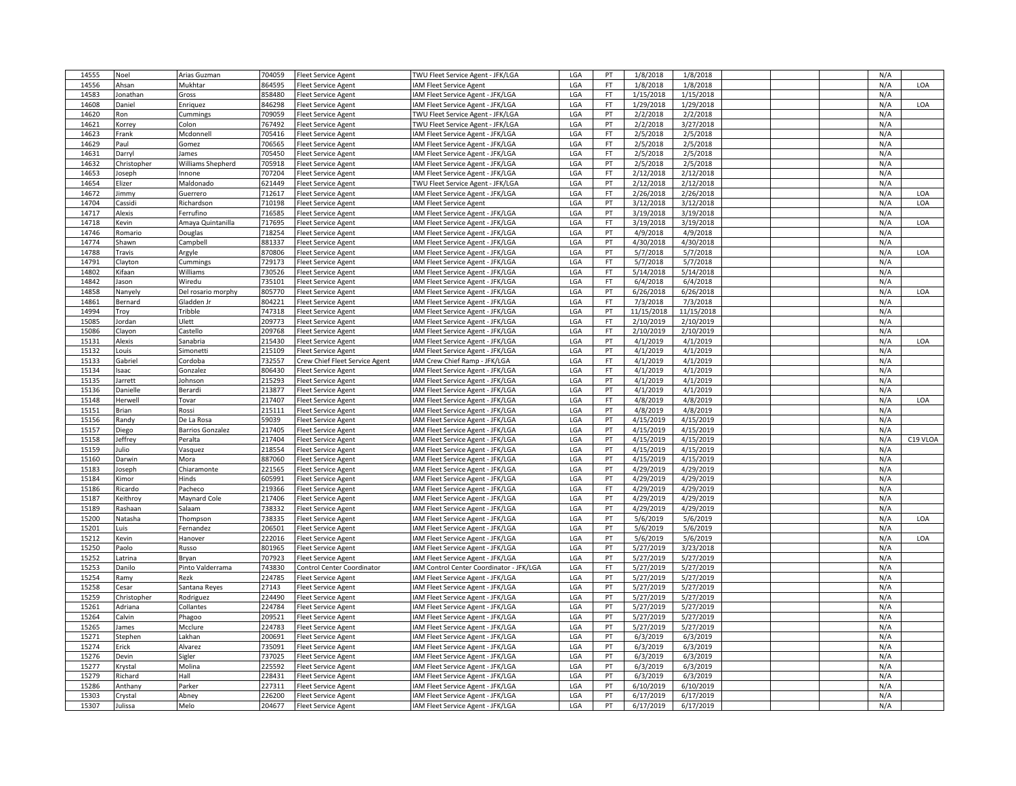| 14555 | Noel                | Arias Guzman            | 704059 | <b>Fleet Service Agent</b>                                   | TWU Fleet Service Agent - JFK/LGA                                      | LGA | PT        | 1/8/2018   | 1/8/2018   |  | N/A |          |
|-------|---------------------|-------------------------|--------|--------------------------------------------------------------|------------------------------------------------------------------------|-----|-----------|------------|------------|--|-----|----------|
| 14556 | Ahsan               | Mukhtar                 | 864595 | <b>Fleet Service Agent</b>                                   | <b>IAM Fleet Service Agent</b>                                         | LGA | FT        | 1/8/2018   | 1/8/2018   |  | N/A | LOA      |
| 14583 | Jonathan            | Gross                   | 858480 | <b>Fleet Service Agent</b>                                   | <b>AM Fleet Service Agent - JFK/LGA</b>                                | LGA | <b>FT</b> | 1/15/2018  | 1/15/2018  |  | N/A |          |
| 14608 | Daniel              | Enriquez                | 846298 | <b>Fleet Service Agent</b>                                   | IAM Fleet Service Agent - JFK/LGA                                      | LGA | <b>FT</b> | 1/29/2018  | 1/29/2018  |  | N/A | LOA      |
| 14620 | Ron                 | Cummings                | 709059 | <b>Fleet Service Agent</b>                                   | TWU Fleet Service Agent - JFK/LGA                                      | LGA | PT        | 2/2/2018   | 2/2/2018   |  | N/A |          |
| 14621 | Korrey              | Colon                   | 767492 | <b>Fleet Service Agent</b>                                   | TWU Fleet Service Agent - JFK/LGA                                      | LGA | PT        | 2/2/2018   | 3/27/2018  |  | N/A |          |
| 14623 | Frank               | Mcdonnell               | 705416 | <b>Fleet Service Agent</b>                                   | IAM Fleet Service Agent - JFK/LGA                                      | LGA | <b>FT</b> | 2/5/2018   | 2/5/2018   |  | N/A |          |
| 14629 | Paul                | Gomez                   | 706565 | <b>Fleet Service Agent</b>                                   | IAM Fleet Service Agent - JFK/LGA                                      | LGA | <b>FT</b> | 2/5/2018   | 2/5/2018   |  | N/A |          |
| 14631 | Darryl              | ames                    | 705450 | <b>Fleet Service Agent</b>                                   | IAM Fleet Service Agent - JFK/LGA                                      | LGA | <b>FT</b> | 2/5/2018   | 2/5/2018   |  | N/A |          |
| 14632 | Christopher         | Williams Shepherd       | 705918 | Fleet Service Agent                                          | <b>IAM Fleet Service Agent - JFK/LGA</b>                               | LGA | PT        | 2/5/2018   | 2/5/2018   |  | N/A |          |
| 14653 | Joseph              | Innone                  | 707204 | <b>Fleet Service Agent</b>                                   | IAM Fleet Service Agent - JFK/LGA                                      | LGA | <b>FT</b> | 2/12/2018  | 2/12/2018  |  | N/A |          |
| 14654 | Elizer              | Maldonado               | 621449 | <b>Fleet Service Agent</b>                                   | TWU Fleet Service Agent - JFK/LGA                                      | LGA | PT        | 2/12/2018  | 2/12/2018  |  | N/A |          |
| 14672 | Jimmy               | Guerrero                | 712617 | <b>Fleet Service Agent</b>                                   | IAM Fleet Service Agent - JFK/LGA                                      | LGA | <b>FT</b> | 2/26/2018  | 2/26/2018  |  | N/A | LOA      |
| 14704 | Cassidi             | Richardson              | 710198 | <b>Fleet Service Agent</b>                                   | IAM Fleet Service Agent                                                | LGA | PT        | 3/12/2018  | 3/12/2018  |  | N/A | LOA      |
| 14717 | Alexis              | Ferrufino               | 716585 | <b>Fleet Service Agent</b>                                   | IAM Fleet Service Agent - JFK/LGA                                      | LGA | PT        | 3/19/2018  | 3/19/2018  |  | N/A |          |
| 14718 | Kevin               | Amaya Quintanilla       | 717695 | <b>Fleet Service Agent</b>                                   | IAM Fleet Service Agent - JFK/LGA                                      | LGA | <b>FT</b> | 3/19/2018  | 3/19/2018  |  | N/A | LOA      |
| 14746 | Romario             | Douglas                 | 718254 | <b>Fleet Service Agent</b>                                   | <b>AM Fleet Service Agent - JFK/LGA</b>                                | LGA | PT        | 4/9/2018   | 4/9/2018   |  | N/A |          |
| 14774 | Shawn               | Campbell                | 881337 | <b>Fleet Service Agent</b>                                   | IAM Fleet Service Agent - JFK/LGA                                      | LGA | PT        | 4/30/2018  | 4/30/2018  |  | N/A |          |
| 14788 | Travis              | Argyle                  | 870806 | <b>Fleet Service Agent</b>                                   | IAM Fleet Service Agent - JFK/LGA                                      | LGA | PT        | 5/7/2018   | 5/7/2018   |  | N/A | LOA      |
| 14791 | Clayton             | Cummings                | 729173 | <b>Fleet Service Agent</b>                                   | <b>AM Fleet Service Agent - JFK/LGA</b>                                | LGA | <b>FT</b> | 5/7/2018   | 5/7/2018   |  | N/A |          |
| 14802 | Kifaan              | Williams                | 730526 | <b>Fleet Service Agent</b>                                   | IAM Fleet Service Agent - JFK/LGA                                      | LGA | <b>FT</b> | 5/14/2018  | 5/14/2018  |  | N/A |          |
| 14842 | Jason               | Wiredu                  | 735101 | <b>Fleet Service Agent</b>                                   | IAM Fleet Service Agent - JFK/LGA                                      | LGA | FT        | 6/4/2018   | 6/4/2018   |  | N/A |          |
| 14858 | Nanyely             | Del rosario morphy      | 805770 | <b>Fleet Service Agent</b>                                   | IAM Fleet Service Agent - JFK/LGA                                      | LGA | PT        | 6/26/2018  | 6/26/2018  |  | N/A | LOA      |
| 14861 | Bernard             | Gladden Jr              | 804221 | <b>Fleet Service Agent</b>                                   | IAM Fleet Service Agent - JFK/LGA                                      | LGA | <b>FT</b> | 7/3/2018   | 7/3/2018   |  | N/A |          |
| 14994 | Troy                | Tribble                 | 747318 | <b>Fleet Service Agent</b>                                   | IAM Fleet Service Agent - JFK/LGA                                      | LGA | PT        | 11/15/2018 | 11/15/2018 |  | N/A |          |
| 15085 | Jordan              | Ulett                   | 209773 | <b>Fleet Service Agent</b>                                   | IAM Fleet Service Agent - JFK/LGA                                      | LGA | <b>FT</b> | 2/10/2019  | 2/10/2019  |  | N/A |          |
| 15086 | Clayon              | Castello                | 209768 | <b>Fleet Service Agent</b>                                   | IAM Fleet Service Agent - JFK/LGA                                      | LGA | FT        | 2/10/2019  | 2/10/2019  |  | N/A |          |
| 15131 | Alexis              | Sanabria                | 215430 | <b>Fleet Service Agent</b>                                   | IAM Fleet Service Agent - JFK/LGA                                      | LGA | PT        | 4/1/2019   | 4/1/2019   |  | N/A | LOA      |
| 15132 | Louis               |                         | 215109 |                                                              | IAM Fleet Service Agent - JFK/LGA                                      | LGA | PT        | 4/1/2019   | 4/1/2019   |  | N/A |          |
| 15133 | Gabriel             | Simonetti<br>Cordoba    | 732557 | <b>Fleet Service Agent</b><br>Crew Chief Fleet Service Agent | IAM Crew Chief Ramp - JFK/LGA                                          | LGA | <b>FT</b> | 4/1/2019   | 4/1/2019   |  | N/A |          |
| 15134 |                     |                         | 806430 | <b>Fleet Service Agent</b>                                   | IAM Fleet Service Agent - JFK/LGA                                      | LGA | <b>FT</b> | 4/1/2019   | 4/1/2019   |  | N/A |          |
| 15135 | saac                | Gonzalez                | 215293 |                                                              |                                                                        | LGA | PT        | 4/1/2019   | 4/1/2019   |  | N/A |          |
| 15136 | Jarrett<br>Danielle | Johnson<br>Berardi      | 213877 | <b>Fleet Service Agent</b>                                   | IAM Fleet Service Agent - JFK/LGA<br>IAM Fleet Service Agent - JFK/LGA | LGA | PT        | 4/1/2019   | 4/1/2019   |  | N/A |          |
| 15148 | Herwell             | Tovar                   | 217407 | <b>Fleet Service Agent</b>                                   | IAM Fleet Service Agent - JFK/LGA                                      | LGA | <b>FT</b> | 4/8/2019   | 4/8/2019   |  | N/A | LOA      |
| 15151 | Brian               | Rossi                   | 215111 | <b>Fleet Service Agent</b><br><b>Fleet Service Agent</b>     | IAM Fleet Service Agent - JFK/LGA                                      | LGA | PT        | 4/8/2019   | 4/8/2019   |  | N/A |          |
| 15156 |                     |                         | 59039  |                                                              |                                                                        | LGA | PT        | 4/15/2019  | 4/15/2019  |  | N/A |          |
| 15157 | Randy               | De La Rosa              | 217405 | <b>Fleet Service Agent</b>                                   | IAM Fleet Service Agent - JFK/LGA                                      | LGA | PT        | 4/15/2019  | 4/15/2019  |  | N/A |          |
| 15158 | Diego<br>Jeffrey    | <b>Barrios Gonzalez</b> | 217404 | Fleet Service Agent                                          | <b>AM Fleet Service Agent - JFK/LGA</b>                                | LGA | PT        | 4/15/2019  | 4/15/2019  |  | N/A | C19 VLOA |
| 15159 |                     | Peralta                 | 218554 | <b>Fleet Service Agent</b>                                   | IAM Fleet Service Agent - JFK/LGA                                      | LGA | PT        |            |            |  | N/A |          |
|       | Julio               | Vasquez                 |        | <b>Fleet Service Agent</b>                                   | IAM Fleet Service Agent - JFK/LGA                                      |     | PT        | 4/15/2019  | 4/15/2019  |  |     |          |
| 15160 | Darwin              | Mora                    | 887060 | <b>Fleet Service Agent</b>                                   | IAM Fleet Service Agent - JFK/LGA                                      | LGA |           | 4/15/2019  | 4/15/2019  |  | N/A |          |
| 15183 | Joseph              | Chiaramonte             | 221565 | <b>Fleet Service Agent</b>                                   | IAM Fleet Service Agent - JFK/LGA                                      | LGA | PT        | 4/29/2019  | 4/29/2019  |  | N/A |          |
| 15184 | Kimor               | Hinds                   | 605991 | <b>Fleet Service Agent</b>                                   | IAM Fleet Service Agent - JFK/LGA                                      | LGA | PT        | 4/29/2019  | 4/29/2019  |  | N/A |          |
| 15186 | Ricardo             | Pacheco                 | 219366 | <b>Fleet Service Agent</b>                                   | IAM Fleet Service Agent - JFK/LGA                                      | LGA | <b>FT</b> | 4/29/2019  | 4/29/2019  |  | N/A |          |
| 15187 | Keithroy            | Maynard Cole            | 217406 | <b>Fleet Service Agent</b>                                   | IAM Fleet Service Agent - JFK/LGA                                      | LGA | PT        | 4/29/2019  | 4/29/2019  |  | N/A |          |
| 15189 | Rashaan             | Salaam                  | 738332 | <b>Fleet Service Agent</b>                                   | IAM Fleet Service Agent - JFK/LGA                                      | LGA | PT        | 4/29/2019  | 4/29/2019  |  | N/A |          |
| 15200 | Natasha             | Thompson                | 738335 | <b>Fleet Service Agent</b>                                   | IAM Fleet Service Agent - JFK/LGA                                      | LGA | PT        | 5/6/2019   | 5/6/2019   |  | N/A | LOA      |
| 15201 | Luis                | Fernandez               | 206501 | <b>Fleet Service Agent</b>                                   | <b>AM Fleet Service Agent - JFK/LGA</b>                                | LGA | PT        | 5/6/2019   | 5/6/2019   |  | N/A |          |
| 15212 | Kevin               | Hanover                 | 222016 | <b>Fleet Service Agent</b>                                   | IAM Fleet Service Agent - JFK/LGA                                      | LGA | PT        | 5/6/2019   | 5/6/2019   |  | N/A | LOA      |
| 15250 | Paolo               | Russo                   | 801965 | <b>Fleet Service Agent</b>                                   | IAM Fleet Service Agent - JFK/LGA                                      | LGA | PT        | 5/27/2019  | 3/23/2018  |  | N/A |          |
| 15252 | Latrina             | Brvan                   | 707923 | <b>Fleet Service Agent</b>                                   | IAM Fleet Service Agent - JFK/LGA                                      | LGA | PT        | 5/27/2019  | 5/27/2019  |  | N/A |          |
| 15253 | Danilo              | Pinto Valderrama        | 743830 | Control Center Coordinator                                   | IAM Control Center Coordinator - JFK/LGA                               | LGA | <b>FT</b> | 5/27/2019  | 5/27/2019  |  | N/A |          |
| 15254 | Ramy                | Rezk                    | 224785 | <b>Fleet Service Agent</b>                                   | IAM Fleet Service Agent - JFK/LGA                                      | LGA | PT        | 5/27/2019  | 5/27/2019  |  | N/A |          |
| 15258 | Cesar               | Santana Reyes           | 27143  | Fleet Service Agent                                          | IAM Fleet Service Agent - JFK/LGA                                      | LGA | PT        | 5/27/2019  | 5/27/2019  |  | N/A |          |
| 15259 | Christopher         | Rodriguez               | 224490 | <b>Fleet Service Agent</b>                                   | IAM Fleet Service Agent - JFK/LGA                                      | LGA | PT        | 5/27/2019  | 5/27/2019  |  | N/A |          |
| 15261 | Adriana             | Collantes               | 224784 | <b>Fleet Service Agent</b>                                   | IAM Fleet Service Agent - JFK/LGA                                      | LGA | PT        | 5/27/2019  | 5/27/2019  |  | N/A |          |
| 15264 | Calvin              | Phagoo                  | 209521 | <b>Fleet Service Agent</b>                                   | IAM Fleet Service Agent - JFK/LGA                                      | LGA | PT        | 5/27/2019  | 5/27/2019  |  | N/A |          |
| 15265 | James               | Mcclure                 | 224783 | <b>Fleet Service Agent</b>                                   | <b>IAM Fleet Service Agent - JFK/LGA</b>                               | LGA | PT        | 5/27/2019  | 5/27/2019  |  | N/A |          |
| 15271 | Stepher             | Lakhan                  | 200691 | <b>Fleet Service Agent</b>                                   | IAM Fleet Service Agent - JFK/LGA                                      | LGA | PT        | 6/3/2019   | 6/3/2019   |  | N/A |          |
| 15274 | Erick               | Alvarez                 | 735091 | <b>Fleet Service Agent</b>                                   | IAM Fleet Service Agent - JFK/LGA                                      | LGA | PT        | 6/3/2019   | 6/3/2019   |  | N/A |          |
| 15276 | Devin               | Sigler                  | 737025 | <b>Fleet Service Agent</b>                                   | IAM Fleet Service Agent - JFK/LGA                                      | LGA | PT        | 6/3/2019   | 6/3/2019   |  | N/A |          |
| 15277 | Krystal             | Molina                  | 225592 | <b>Fleet Service Agent</b>                                   | IAM Fleet Service Agent - JFK/LGA                                      | LGA | PT        | 6/3/2019   | 6/3/2019   |  | N/A |          |
| 15279 | Richard             | Hall                    | 228431 | <b>Fleet Service Agent</b>                                   | IAM Fleet Service Agent - JFK/LGA                                      | LGA | PT        | 6/3/2019   | 6/3/2019   |  | N/A |          |
| 15286 | Anthany             | Parker                  | 27311  | <b>Fleet Service Agent</b>                                   | <b>IAM Fleet Service Agent - JFK/LGA</b>                               | LGA | PT        | 6/10/2019  | 6/10/2019  |  | N/A |          |
| 15303 | Crystal             | Abney                   | 226200 | <b>Fleet Service Agent</b>                                   | <b>AM Fleet Service Agent - JFK/LGA</b>                                | LGA | PT        | 6/17/2019  | 6/17/2019  |  | N/A |          |
| 15307 | Julissa             | Melo                    | 204677 | <b>Fleet Service Agent</b>                                   | IAM Fleet Service Agent - JFK/LGA                                      | LGA | PT        | 6/17/2019  | 6/17/2019  |  | N/A |          |